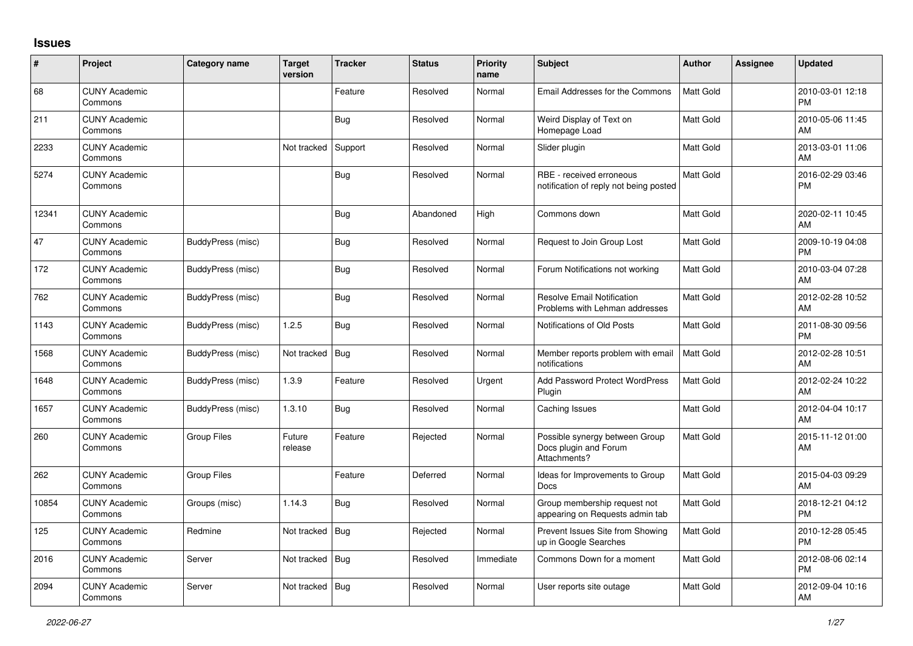## **Issues**

| #     | Project                         | <b>Category name</b> | <b>Target</b><br>version | <b>Tracker</b> | <b>Status</b> | <b>Priority</b><br>name | <b>Subject</b>                                                          | <b>Author</b>    | <b>Assignee</b> | <b>Updated</b>                |
|-------|---------------------------------|----------------------|--------------------------|----------------|---------------|-------------------------|-------------------------------------------------------------------------|------------------|-----------------|-------------------------------|
| 68    | <b>CUNY Academic</b><br>Commons |                      |                          | Feature        | Resolved      | Normal                  | Email Addresses for the Commons                                         | <b>Matt Gold</b> |                 | 2010-03-01 12:18<br><b>PM</b> |
| 211   | <b>CUNY Academic</b><br>Commons |                      |                          | Bug            | Resolved      | Normal                  | Weird Display of Text on<br>Homepage Load                               | Matt Gold        |                 | 2010-05-06 11:45<br>AM        |
| 2233  | <b>CUNY Academic</b><br>Commons |                      | Not tracked              | Support        | Resolved      | Normal                  | Slider plugin                                                           | <b>Matt Gold</b> |                 | 2013-03-01 11:06<br>AM        |
| 5274  | <b>CUNY Academic</b><br>Commons |                      |                          | <b>Bug</b>     | Resolved      | Normal                  | RBE - received erroneous<br>notification of reply not being posted      | <b>Matt Gold</b> |                 | 2016-02-29 03:46<br><b>PM</b> |
| 12341 | <b>CUNY Academic</b><br>Commons |                      |                          | Bug            | Abandoned     | High                    | Commons down                                                            | Matt Gold        |                 | 2020-02-11 10:45<br><b>AM</b> |
| 47    | <b>CUNY Academic</b><br>Commons | BuddyPress (misc)    |                          | Bug            | Resolved      | Normal                  | Request to Join Group Lost                                              | Matt Gold        |                 | 2009-10-19 04:08<br><b>PM</b> |
| 172   | <b>CUNY Academic</b><br>Commons | BuddyPress (misc)    |                          | <b>Bug</b>     | Resolved      | Normal                  | Forum Notifications not working                                         | Matt Gold        |                 | 2010-03-04 07:28<br><b>AM</b> |
| 762   | <b>CUNY Academic</b><br>Commons | BuddyPress (misc)    |                          | <b>Bug</b>     | Resolved      | Normal                  | <b>Resolve Email Notification</b><br>Problems with Lehman addresses     | Matt Gold        |                 | 2012-02-28 10:52<br>AM        |
| 1143  | <b>CUNY Academic</b><br>Commons | BuddyPress (misc)    | 1.2.5                    | Bug            | Resolved      | Normal                  | Notifications of Old Posts                                              | <b>Matt Gold</b> |                 | 2011-08-30 09:56<br><b>PM</b> |
| 1568  | <b>CUNY Academic</b><br>Commons | BuddyPress (misc)    | Not tracked              | Bug            | Resolved      | Normal                  | Member reports problem with email<br>notifications                      | <b>Matt Gold</b> |                 | 2012-02-28 10:51<br>AM        |
| 1648  | <b>CUNY Academic</b><br>Commons | BuddyPress (misc)    | 1.3.9                    | Feature        | Resolved      | Urgent                  | <b>Add Password Protect WordPress</b><br>Plugin                         | Matt Gold        |                 | 2012-02-24 10:22<br>AM        |
| 1657  | <b>CUNY Academic</b><br>Commons | BuddyPress (misc)    | 1.3.10                   | Bug            | Resolved      | Normal                  | Caching Issues                                                          | <b>Matt Gold</b> |                 | 2012-04-04 10:17<br>AM        |
| 260   | <b>CUNY Academic</b><br>Commons | Group Files          | Future<br>release        | Feature        | Rejected      | Normal                  | Possible synergy between Group<br>Docs plugin and Forum<br>Attachments? | <b>Matt Gold</b> |                 | 2015-11-12 01:00<br>AM        |
| 262   | <b>CUNY Academic</b><br>Commons | <b>Group Files</b>   |                          | Feature        | Deferred      | Normal                  | Ideas for Improvements to Group<br>Docs                                 | <b>Matt Gold</b> |                 | 2015-04-03 09:29<br>AM        |
| 10854 | <b>CUNY Academic</b><br>Commons | Groups (misc)        | 1.14.3                   | Bug            | Resolved      | Normal                  | Group membership request not<br>appearing on Requests admin tab         | <b>Matt Gold</b> |                 | 2018-12-21 04:12<br><b>PM</b> |
| 125   | <b>CUNY Academic</b><br>Commons | Redmine              | Not tracked              | <b>Bug</b>     | Rejected      | Normal                  | Prevent Issues Site from Showing<br>up in Google Searches               | <b>Matt Gold</b> |                 | 2010-12-28 05:45<br><b>PM</b> |
| 2016  | <b>CUNY Academic</b><br>Commons | Server               | Not tracked              | <b>Bug</b>     | Resolved      | Immediate               | Commons Down for a moment                                               | Matt Gold        |                 | 2012-08-06 02:14<br><b>PM</b> |
| 2094  | <b>CUNY Academic</b><br>Commons | Server               | Not tracked              | Bug            | Resolved      | Normal                  | User reports site outage                                                | Matt Gold        |                 | 2012-09-04 10:16<br>AM        |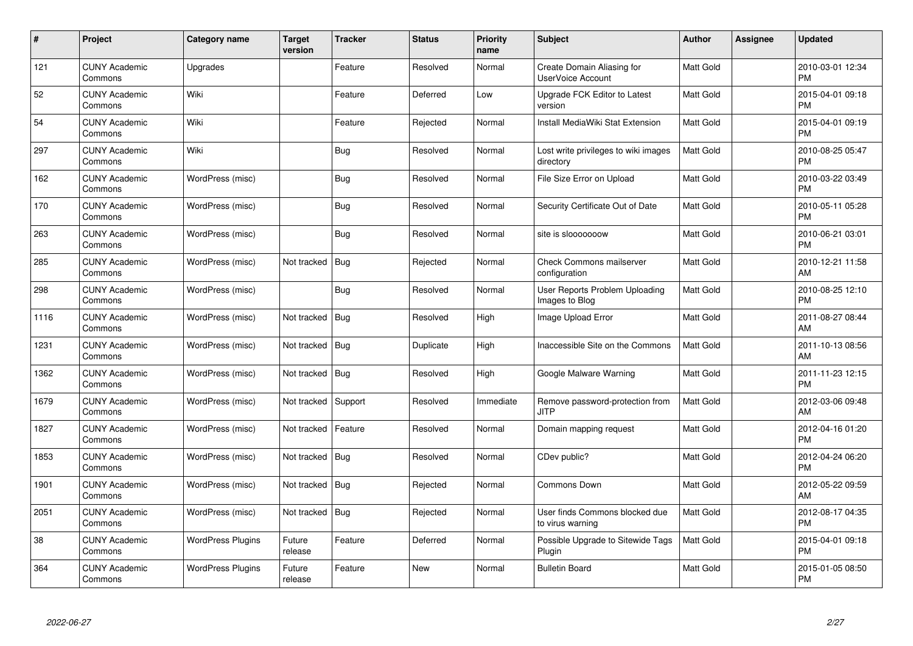| $\#$ | Project                         | Category name            | <b>Target</b><br>version | <b>Tracker</b> | <b>Status</b> | <b>Priority</b><br>name | <b>Subject</b>                                         | <b>Author</b> | <b>Assignee</b> | <b>Updated</b>                |
|------|---------------------------------|--------------------------|--------------------------|----------------|---------------|-------------------------|--------------------------------------------------------|---------------|-----------------|-------------------------------|
| 121  | <b>CUNY Academic</b><br>Commons | Upgrades                 |                          | Feature        | Resolved      | Normal                  | Create Domain Aliasing for<br><b>UserVoice Account</b> | Matt Gold     |                 | 2010-03-01 12:34<br><b>PM</b> |
| 52   | <b>CUNY Academic</b><br>Commons | Wiki                     |                          | Feature        | Deferred      | Low                     | Upgrade FCK Editor to Latest<br>version                | Matt Gold     |                 | 2015-04-01 09:18<br><b>PM</b> |
| 54   | <b>CUNY Academic</b><br>Commons | Wiki                     |                          | Feature        | Rejected      | Normal                  | Install MediaWiki Stat Extension                       | Matt Gold     |                 | 2015-04-01 09:19<br><b>PM</b> |
| 297  | <b>CUNY Academic</b><br>Commons | Wiki                     |                          | <b>Bug</b>     | Resolved      | Normal                  | Lost write privileges to wiki images<br>directory      | Matt Gold     |                 | 2010-08-25 05:47<br><b>PM</b> |
| 162  | <b>CUNY Academic</b><br>Commons | WordPress (misc)         |                          | <b>Bug</b>     | Resolved      | Normal                  | File Size Error on Upload                              | Matt Gold     |                 | 2010-03-22 03:49<br><b>PM</b> |
| 170  | <b>CUNY Academic</b><br>Commons | WordPress (misc)         |                          | <b>Bug</b>     | Resolved      | Normal                  | Security Certificate Out of Date                       | Matt Gold     |                 | 2010-05-11 05:28<br><b>PM</b> |
| 263  | <b>CUNY Academic</b><br>Commons | WordPress (misc)         |                          | <b>Bug</b>     | Resolved      | Normal                  | site is slooooooow                                     | Matt Gold     |                 | 2010-06-21 03:01<br><b>PM</b> |
| 285  | <b>CUNY Academic</b><br>Commons | WordPress (misc)         | Not tracked              | Bug            | Rejected      | Normal                  | Check Commons mailserver<br>configuration              | Matt Gold     |                 | 2010-12-21 11:58<br>AM        |
| 298  | <b>CUNY Academic</b><br>Commons | WordPress (misc)         |                          | <b>Bug</b>     | Resolved      | Normal                  | User Reports Problem Uploading<br>Images to Blog       | Matt Gold     |                 | 2010-08-25 12:10<br><b>PM</b> |
| 1116 | <b>CUNY Academic</b><br>Commons | WordPress (misc)         | Not tracked              | Bug            | Resolved      | High                    | Image Upload Error                                     | Matt Gold     |                 | 2011-08-27 08:44<br>AM        |
| 1231 | <b>CUNY Academic</b><br>Commons | WordPress (misc)         | Not tracked   Bug        |                | Duplicate     | High                    | Inaccessible Site on the Commons                       | Matt Gold     |                 | 2011-10-13 08:56<br><b>AM</b> |
| 1362 | <b>CUNY Academic</b><br>Commons | WordPress (misc)         | Not tracked   Bug        |                | Resolved      | High                    | Google Malware Warning                                 | Matt Gold     |                 | 2011-11-23 12:15<br><b>PM</b> |
| 1679 | <b>CUNY Academic</b><br>Commons | WordPress (misc)         | Not tracked              | Support        | Resolved      | Immediate               | Remove password-protection from<br><b>JITP</b>         | Matt Gold     |                 | 2012-03-06 09:48<br>AM        |
| 1827 | <b>CUNY Academic</b><br>Commons | WordPress (misc)         | Not tracked              | Feature        | Resolved      | Normal                  | Domain mapping request                                 | Matt Gold     |                 | 2012-04-16 01:20<br><b>PM</b> |
| 1853 | <b>CUNY Academic</b><br>Commons | WordPress (misc)         | Not tracked   Bug        |                | Resolved      | Normal                  | CDev public?                                           | Matt Gold     |                 | 2012-04-24 06:20<br><b>PM</b> |
| 1901 | <b>CUNY Academic</b><br>Commons | WordPress (misc)         | Not tracked   Bug        |                | Rejected      | Normal                  | Commons Down                                           | Matt Gold     |                 | 2012-05-22 09:59<br>AM        |
| 2051 | <b>CUNY Academic</b><br>Commons | WordPress (misc)         | Not tracked              | <b>Bug</b>     | Rejected      | Normal                  | User finds Commons blocked due<br>to virus warning     | Matt Gold     |                 | 2012-08-17 04:35<br><b>PM</b> |
| 38   | <b>CUNY Academic</b><br>Commons | <b>WordPress Plugins</b> | Future<br>release        | Feature        | Deferred      | Normal                  | Possible Upgrade to Sitewide Tags<br>Plugin            | Matt Gold     |                 | 2015-04-01 09:18<br><b>PM</b> |
| 364  | CUNY Academic<br>Commons        | <b>WordPress Plugins</b> | Future<br>release        | Feature        | New           | Normal                  | <b>Bulletin Board</b>                                  | Matt Gold     |                 | 2015-01-05 08:50<br><b>PM</b> |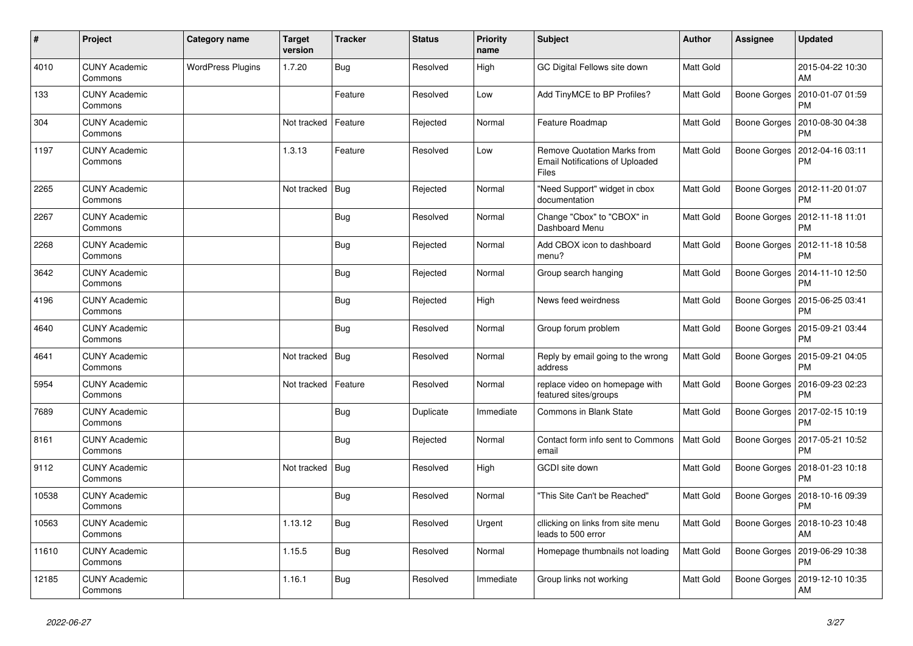| $\pmb{\#}$ | Project                         | Category name            | <b>Target</b><br>version | <b>Tracker</b> | <b>Status</b> | <b>Priority</b><br>name | <b>Subject</b>                                                                        | Author           | <b>Assignee</b> | <b>Updated</b>                               |
|------------|---------------------------------|--------------------------|--------------------------|----------------|---------------|-------------------------|---------------------------------------------------------------------------------------|------------------|-----------------|----------------------------------------------|
| 4010       | <b>CUNY Academic</b><br>Commons | <b>WordPress Plugins</b> | 1.7.20                   | <b>Bug</b>     | Resolved      | High                    | GC Digital Fellows site down                                                          | <b>Matt Gold</b> |                 | 2015-04-22 10:30<br>AM                       |
| 133        | <b>CUNY Academic</b><br>Commons |                          |                          | Feature        | Resolved      | Low                     | Add TinyMCE to BP Profiles?                                                           | Matt Gold        | Boone Gorges    | 2010-01-07 01:59<br><b>PM</b>                |
| 304        | <b>CUNY Academic</b><br>Commons |                          | Not tracked              | Feature        | Rejected      | Normal                  | Feature Roadmap                                                                       | Matt Gold        | Boone Gorges    | 2010-08-30 04:38<br><b>PM</b>                |
| 1197       | <b>CUNY Academic</b><br>Commons |                          | 1.3.13                   | Feature        | Resolved      | Low                     | Remove Quotation Marks from<br><b>Email Notifications of Uploaded</b><br><b>Files</b> | <b>Matt Gold</b> | Boone Gorges    | 2012-04-16 03:11<br><b>PM</b>                |
| 2265       | <b>CUNY Academic</b><br>Commons |                          | Not tracked              | Bug            | Rejected      | Normal                  | "Need Support" widget in cbox<br>documentation                                        | Matt Gold        | Boone Gorges    | 2012-11-20 01:07<br><b>PM</b>                |
| 2267       | <b>CUNY Academic</b><br>Commons |                          |                          | Bug            | Resolved      | Normal                  | Change "Cbox" to "CBOX" in<br>Dashboard Menu                                          | Matt Gold        |                 | Boone Gorges   2012-11-18 11:01<br><b>PM</b> |
| 2268       | <b>CUNY Academic</b><br>Commons |                          |                          | <b>Bug</b>     | Rejected      | Normal                  | Add CBOX icon to dashboard<br>menu?                                                   | <b>Matt Gold</b> | Boone Gorges    | 2012-11-18 10:58<br><b>PM</b>                |
| 3642       | <b>CUNY Academic</b><br>Commons |                          |                          | Bug            | Rejected      | Normal                  | Group search hanging                                                                  | Matt Gold        | Boone Gorges    | 2014-11-10 12:50<br><b>PM</b>                |
| 4196       | <b>CUNY Academic</b><br>Commons |                          |                          | <b>Bug</b>     | Rejected      | High                    | News feed weirdness                                                                   | Matt Gold        |                 | Boone Gorges   2015-06-25 03:41<br><b>PM</b> |
| 4640       | <b>CUNY Academic</b><br>Commons |                          |                          | <b>Bug</b>     | Resolved      | Normal                  | Group forum problem                                                                   | <b>Matt Gold</b> | Boone Gorges    | 2015-09-21 03:44<br><b>PM</b>                |
| 4641       | <b>CUNY Academic</b><br>Commons |                          | Not tracked              | <b>Bug</b>     | Resolved      | Normal                  | Reply by email going to the wrong<br>address                                          | Matt Gold        |                 | Boone Gorges   2015-09-21 04:05<br><b>PM</b> |
| 5954       | <b>CUNY Academic</b><br>Commons |                          | Not tracked              | Feature        | Resolved      | Normal                  | replace video on homepage with<br>featured sites/groups                               | Matt Gold        | Boone Gorges    | 2016-09-23 02:23<br><b>PM</b>                |
| 7689       | <b>CUNY Academic</b><br>Commons |                          |                          | <b>Bug</b>     | Duplicate     | Immediate               | Commons in Blank State                                                                | <b>Matt Gold</b> | Boone Gorges    | 2017-02-15 10:19<br><b>PM</b>                |
| 8161       | <b>CUNY Academic</b><br>Commons |                          |                          | Bug            | Rejected      | Normal                  | Contact form info sent to Commons<br>email                                            | <b>Matt Gold</b> | Boone Gorges    | 2017-05-21 10:52<br><b>PM</b>                |
| 9112       | <b>CUNY Academic</b><br>Commons |                          | Not tracked              | <b>Bug</b>     | Resolved      | High                    | GCDI site down                                                                        | Matt Gold        | Boone Gorges    | 2018-01-23 10:18<br><b>PM</b>                |
| 10538      | <b>CUNY Academic</b><br>Commons |                          |                          | <b>Bug</b>     | Resolved      | Normal                  | "This Site Can't be Reached"                                                          | Matt Gold        | Boone Gorges    | 2018-10-16 09:39<br><b>PM</b>                |
| 10563      | <b>CUNY Academic</b><br>Commons |                          | 1.13.12                  | Bug            | Resolved      | Urgent                  | cllicking on links from site menu<br>leads to 500 error                               | <b>Matt Gold</b> |                 | Boone Gorges   2018-10-23 10:48<br>AM        |
| 11610      | <b>CUNY Academic</b><br>Commons |                          | 1.15.5                   | <b>Bug</b>     | Resolved      | Normal                  | Homepage thumbnails not loading                                                       | <b>Matt Gold</b> | Boone Gorges    | 2019-06-29 10:38<br><b>PM</b>                |
| 12185      | <b>CUNY Academic</b><br>Commons |                          | 1.16.1                   | Bug            | Resolved      | Immediate               | Group links not working                                                               | Matt Gold        | Boone Gorges    | 2019-12-10 10:35<br>AM                       |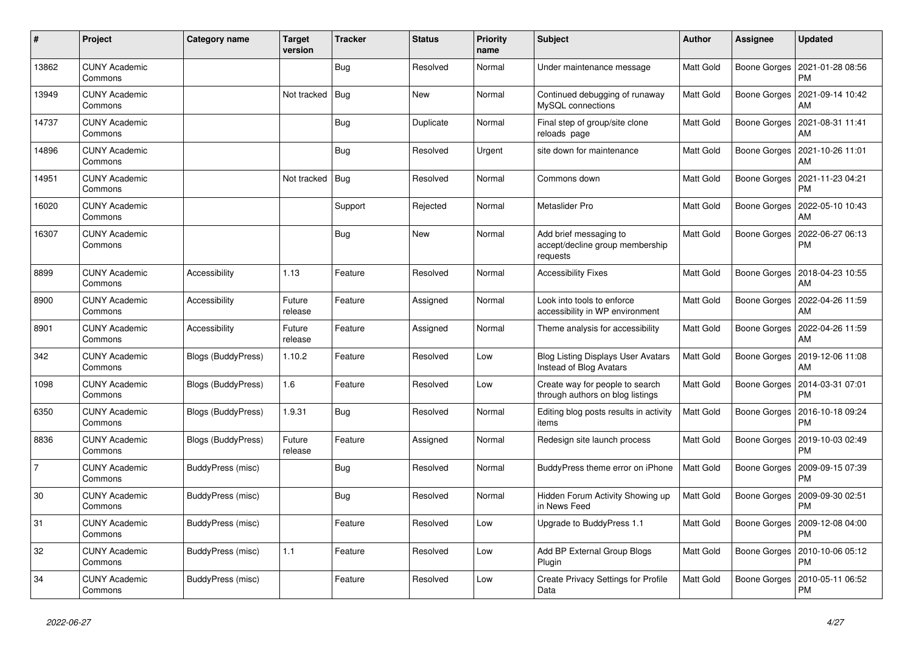| $\pmb{\sharp}$ | Project                         | Category name      | <b>Target</b><br>version | <b>Tracker</b> | <b>Status</b> | <b>Priority</b><br>name | <b>Subject</b>                                                        | Author           | Assignee            | <b>Updated</b>                        |
|----------------|---------------------------------|--------------------|--------------------------|----------------|---------------|-------------------------|-----------------------------------------------------------------------|------------------|---------------------|---------------------------------------|
| 13862          | <b>CUNY Academic</b><br>Commons |                    |                          | <b>Bug</b>     | Resolved      | Normal                  | Under maintenance message                                             | <b>Matt Gold</b> | Boone Gorges        | 2021-01-28 08:56<br><b>PM</b>         |
| 13949          | <b>CUNY Academic</b><br>Commons |                    | Not tracked              | Bug            | New           | Normal                  | Continued debugging of runaway<br>MySQL connections                   | Matt Gold        | Boone Gorges        | 2021-09-14 10:42<br>AM                |
| 14737          | <b>CUNY Academic</b><br>Commons |                    |                          | Bug            | Duplicate     | Normal                  | Final step of group/site clone<br>reloads page                        | Matt Gold        | Boone Gorges        | 2021-08-31 11:41<br>AM                |
| 14896          | <b>CUNY Academic</b><br>Commons |                    |                          | <b>Bug</b>     | Resolved      | Urgent                  | site down for maintenance                                             | Matt Gold        | Boone Gorges        | 2021-10-26 11:01<br>AM                |
| 14951          | <b>CUNY Academic</b><br>Commons |                    | Not tracked              | Bug            | Resolved      | Normal                  | Commons down                                                          | Matt Gold        | <b>Boone Gorges</b> | 2021-11-23 04:21<br><b>PM</b>         |
| 16020          | <b>CUNY Academic</b><br>Commons |                    |                          | Support        | Rejected      | Normal                  | Metaslider Pro                                                        | Matt Gold        | Boone Gorges        | 2022-05-10 10:43<br>AM                |
| 16307          | <b>CUNY Academic</b><br>Commons |                    |                          | <b>Bug</b>     | New           | Normal                  | Add brief messaging to<br>accept/decline group membership<br>requests | Matt Gold        | Boone Gorges        | 2022-06-27 06:13<br>PM                |
| 8899           | <b>CUNY Academic</b><br>Commons | Accessibility      | 1.13                     | Feature        | Resolved      | Normal                  | <b>Accessibility Fixes</b>                                            | Matt Gold        | Boone Gorges        | 2018-04-23 10:55<br>AM                |
| 8900           | <b>CUNY Academic</b><br>Commons | Accessibility      | Future<br>release        | Feature        | Assigned      | Normal                  | Look into tools to enforce<br>accessibility in WP environment         | Matt Gold        | Boone Gorges        | 2022-04-26 11:59<br>AM                |
| 8901           | <b>CUNY Academic</b><br>Commons | Accessibility      | Future<br>release        | Feature        | Assigned      | Normal                  | Theme analysis for accessibility                                      | <b>Matt Gold</b> | Boone Gorges        | 2022-04-26 11:59<br>AM                |
| 342            | <b>CUNY Academic</b><br>Commons | Blogs (BuddyPress) | 1.10.2                   | Feature        | Resolved      | Low                     | <b>Blog Listing Displays User Avatars</b><br>Instead of Blog Avatars  | Matt Gold        |                     | Boone Gorges   2019-12-06 11:08<br>AM |
| 1098           | <b>CUNY Academic</b><br>Commons | Blogs (BuddyPress) | 1.6                      | Feature        | Resolved      | Low                     | Create way for people to search<br>through authors on blog listings   | <b>Matt Gold</b> | Boone Gorges        | 2014-03-31 07:01<br><b>PM</b>         |
| 6350           | <b>CUNY Academic</b><br>Commons | Blogs (BuddyPress) | 1.9.31                   | <b>Bug</b>     | Resolved      | Normal                  | Editing blog posts results in activity<br>items                       | <b>Matt Gold</b> | Boone Gorges        | 2016-10-18 09:24<br><b>PM</b>         |
| 8836           | <b>CUNY Academic</b><br>Commons | Blogs (BuddyPress) | Future<br>release        | Feature        | Assigned      | Normal                  | Redesign site launch process                                          | Matt Gold        | Boone Gorges        | 2019-10-03 02:49<br><b>PM</b>         |
| 7              | <b>CUNY Academic</b><br>Commons | BuddyPress (misc)  |                          | <b>Bug</b>     | Resolved      | Normal                  | BuddyPress theme error on iPhone                                      | <b>Matt Gold</b> | Boone Gorges        | 2009-09-15 07:39<br><b>PM</b>         |
| 30             | <b>CUNY Academic</b><br>Commons | BuddyPress (misc)  |                          | <b>Bug</b>     | Resolved      | Normal                  | Hidden Forum Activity Showing up<br>in News Feed                      | Matt Gold        | Boone Gorges        | 2009-09-30 02:51<br><b>PM</b>         |
| 31             | <b>CUNY Academic</b><br>Commons | BuddyPress (misc)  |                          | Feature        | Resolved      | Low                     | Upgrade to BuddyPress 1.1                                             | <b>Matt Gold</b> |                     | Boone Gorges   2009-12-08 04:00<br>PM |
| 32             | <b>CUNY Academic</b><br>Commons | BuddyPress (misc)  | 1.1                      | Feature        | Resolved      | Low                     | Add BP External Group Blogs<br>Plugin                                 | Matt Gold        | Boone Gorges        | 2010-10-06 05:12<br><b>PM</b>         |
| 34             | <b>CUNY Academic</b><br>Commons | BuddyPress (misc)  |                          | Feature        | Resolved      | Low                     | Create Privacy Settings for Profile<br>Data                           | Matt Gold        | Boone Gorges        | 2010-05-11 06:52<br>PM                |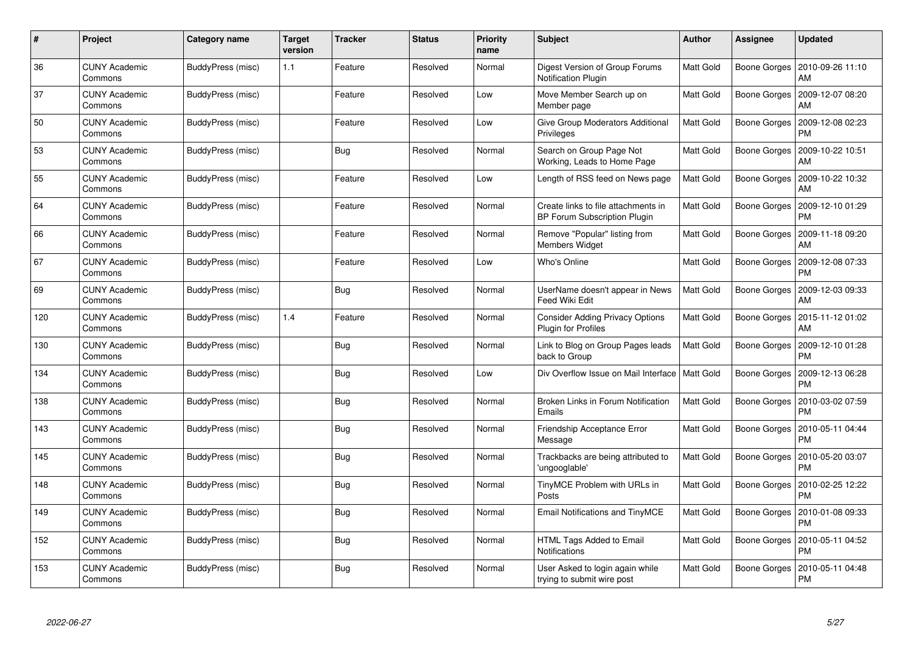| $\#$ | Project                         | Category name     | <b>Target</b><br>version | <b>Tracker</b> | <b>Status</b> | <b>Priority</b><br>name | <b>Subject</b>                                                             | <b>Author</b>    | Assignee            | <b>Updated</b>                |
|------|---------------------------------|-------------------|--------------------------|----------------|---------------|-------------------------|----------------------------------------------------------------------------|------------------|---------------------|-------------------------------|
| 36   | <b>CUNY Academic</b><br>Commons | BuddyPress (misc) | 1.1                      | Feature        | Resolved      | Normal                  | Digest Version of Group Forums<br>Notification Plugin                      | <b>Matt Gold</b> | Boone Gorges        | 2010-09-26 11:10<br>AM        |
| 37   | <b>CUNY Academic</b><br>Commons | BuddyPress (misc) |                          | Feature        | Resolved      | Low                     | Move Member Search up on<br>Member page                                    | <b>Matt Gold</b> | Boone Gorges        | 2009-12-07 08:20<br>AM        |
| 50   | <b>CUNY Academic</b><br>Commons | BuddyPress (misc) |                          | Feature        | Resolved      | Low                     | Give Group Moderators Additional<br>Privileges                             | <b>Matt Gold</b> | Boone Gorges        | 2009-12-08 02:23<br>PM        |
| 53   | <b>CUNY Academic</b><br>Commons | BuddyPress (misc) |                          | <b>Bug</b>     | Resolved      | Normal                  | Search on Group Page Not<br>Working, Leads to Home Page                    | Matt Gold        | Boone Gorges        | 2009-10-22 10:51<br>AM        |
| 55   | <b>CUNY Academic</b><br>Commons | BuddyPress (misc) |                          | Feature        | Resolved      | Low                     | Length of RSS feed on News page                                            | <b>Matt Gold</b> | Boone Gorges        | 2009-10-22 10:32<br>AM        |
| 64   | <b>CUNY Academic</b><br>Commons | BuddyPress (misc) |                          | Feature        | Resolved      | Normal                  | Create links to file attachments in<br><b>BP Forum Subscription Plugin</b> | Matt Gold        | Boone Gorges        | 2009-12-10 01:29<br>PM        |
| 66   | <b>CUNY Academic</b><br>Commons | BuddyPress (misc) |                          | Feature        | Resolved      | Normal                  | Remove "Popular" listing from<br><b>Members Widget</b>                     | Matt Gold        | Boone Gorges        | 2009-11-18 09:20<br>AM        |
| 67   | <b>CUNY Academic</b><br>Commons | BuddyPress (misc) |                          | Feature        | Resolved      | Low                     | Who's Online                                                               | Matt Gold        | Boone Gorges        | 2009-12-08 07:33<br><b>PM</b> |
| 69   | <b>CUNY Academic</b><br>Commons | BuddyPress (misc) |                          | Bug            | Resolved      | Normal                  | UserName doesn't appear in News<br>Feed Wiki Edit                          | <b>Matt Gold</b> | Boone Gorges        | 2009-12-03 09:33<br>AM        |
| 120  | <b>CUNY Academic</b><br>Commons | BuddyPress (misc) | 1.4                      | Feature        | Resolved      | Normal                  | <b>Consider Adding Privacy Options</b><br><b>Plugin for Profiles</b>       | Matt Gold        | Boone Gorges        | 2015-11-12 01:02<br>AM        |
| 130  | <b>CUNY Academic</b><br>Commons | BuddyPress (misc) |                          | Bug            | Resolved      | Normal                  | Link to Blog on Group Pages leads<br>back to Group                         | Matt Gold        | Boone Gorges        | 2009-12-10 01:28<br><b>PM</b> |
| 134  | <b>CUNY Academic</b><br>Commons | BuddyPress (misc) |                          | <b>Bug</b>     | Resolved      | Low                     | Div Overflow Issue on Mail Interface                                       | Matt Gold        | Boone Gorges        | 2009-12-13 06:28<br><b>PM</b> |
| 138  | <b>CUNY Academic</b><br>Commons | BuddyPress (misc) |                          | Bug            | Resolved      | Normal                  | Broken Links in Forum Notification<br>Emails                               | Matt Gold        | Boone Gorges        | 2010-03-02 07:59<br><b>PM</b> |
| 143  | <b>CUNY Academic</b><br>Commons | BuddyPress (misc) |                          | <b>Bug</b>     | Resolved      | Normal                  | Friendship Acceptance Error<br>Message                                     | Matt Gold        | Boone Gorges        | 2010-05-11 04:44<br><b>PM</b> |
| 145  | <b>CUNY Academic</b><br>Commons | BuddyPress (misc) |                          | <b>Bug</b>     | Resolved      | Normal                  | Trackbacks are being attributed to<br>ungooglable'                         | Matt Gold        | <b>Boone Gorges</b> | 2010-05-20 03:07<br><b>PM</b> |
| 148  | <b>CUNY Academic</b><br>Commons | BuddyPress (misc) |                          | Bug            | Resolved      | Normal                  | TinyMCE Problem with URLs in<br>Posts                                      | <b>Matt Gold</b> | Boone Gorges        | 2010-02-25 12:22<br>PM        |
| 149  | <b>CUNY Academic</b><br>Commons | BuddyPress (misc) |                          | Bug            | Resolved      | Normal                  | Email Notifications and TinyMCE                                            | Matt Gold        | Boone Gorges        | 2010-01-08 09:33<br><b>PM</b> |
| 152  | <b>CUNY Academic</b><br>Commons | BuddyPress (misc) |                          | <b>Bug</b>     | Resolved      | Normal                  | HTML Tags Added to Email<br>Notifications                                  | Matt Gold        | Boone Gorges        | 2010-05-11 04:52<br><b>PM</b> |
| 153  | CUNY Academic<br>Commons        | BuddyPress (misc) |                          | <b>Bug</b>     | Resolved      | Normal                  | User Asked to login again while<br>trying to submit wire post              | Matt Gold        | Boone Gorges        | 2010-05-11 04:48<br><b>PM</b> |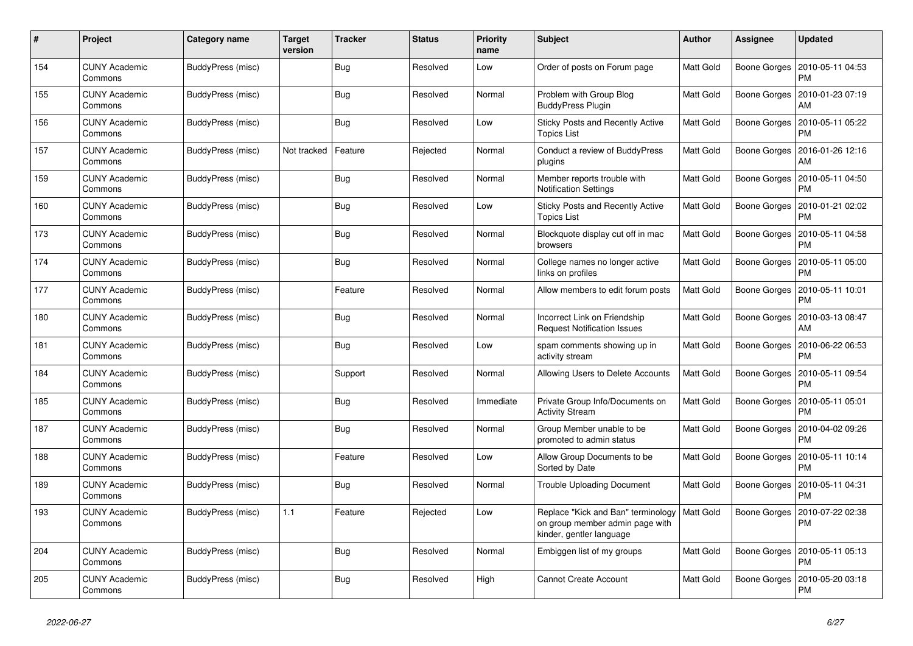| #   | Project                         | Category name     | <b>Target</b><br>version | <b>Tracker</b> | <b>Status</b> | <b>Priority</b><br>name | <b>Subject</b>                                                                                                | <b>Author</b>    | Assignee     | <b>Updated</b>                |
|-----|---------------------------------|-------------------|--------------------------|----------------|---------------|-------------------------|---------------------------------------------------------------------------------------------------------------|------------------|--------------|-------------------------------|
| 154 | <b>CUNY Academic</b><br>Commons | BuddyPress (misc) |                          | Bug            | Resolved      | Low                     | Order of posts on Forum page                                                                                  | <b>Matt Gold</b> | Boone Gorges | 2010-05-11 04:53<br><b>PM</b> |
| 155 | <b>CUNY Academic</b><br>Commons | BuddyPress (misc) |                          | Bug            | Resolved      | Normal                  | Problem with Group Blog<br><b>BuddyPress Plugin</b>                                                           | Matt Gold        | Boone Gorges | 2010-01-23 07:19<br>AM        |
| 156 | <b>CUNY Academic</b><br>Commons | BuddyPress (misc) |                          | Bug            | Resolved      | Low                     | <b>Sticky Posts and Recently Active</b><br><b>Topics List</b>                                                 | Matt Gold        | Boone Gorges | 2010-05-11 05:22<br>PM        |
| 157 | <b>CUNY Academic</b><br>Commons | BuddyPress (misc) | Not tracked              | Feature        | Rejected      | Normal                  | Conduct a review of BuddyPress<br>plugins                                                                     | <b>Matt Gold</b> | Boone Gorges | 2016-01-26 12:16<br>AM        |
| 159 | <b>CUNY Academic</b><br>Commons | BuddyPress (misc) |                          | Bug            | Resolved      | Normal                  | Member reports trouble with<br><b>Notification Settings</b>                                                   | Matt Gold        | Boone Gorges | 2010-05-11 04:50<br><b>PM</b> |
| 160 | <b>CUNY Academic</b><br>Commons | BuddyPress (misc) |                          | Bug            | Resolved      | Low                     | <b>Sticky Posts and Recently Active</b><br><b>Topics List</b>                                                 | Matt Gold        | Boone Gorges | 2010-01-21 02:02<br>PM        |
| 173 | <b>CUNY Academic</b><br>Commons | BuddyPress (misc) |                          | Bug            | Resolved      | Normal                  | Blockquote display cut off in mac<br>browsers                                                                 | Matt Gold        | Boone Gorges | 2010-05-11 04:58<br><b>PM</b> |
| 174 | <b>CUNY Academic</b><br>Commons | BuddyPress (misc) |                          | <b>Bug</b>     | Resolved      | Normal                  | College names no longer active<br>links on profiles                                                           | Matt Gold        | Boone Gorges | 2010-05-11 05:00<br><b>PM</b> |
| 177 | <b>CUNY Academic</b><br>Commons | BuddyPress (misc) |                          | Feature        | Resolved      | Normal                  | Allow members to edit forum posts                                                                             | <b>Matt Gold</b> | Boone Gorges | 2010-05-11 10:01<br><b>PM</b> |
| 180 | <b>CUNY Academic</b><br>Commons | BuddyPress (misc) |                          | Bug            | Resolved      | Normal                  | Incorrect Link on Friendship<br><b>Request Notification Issues</b>                                            | Matt Gold        | Boone Gorges | 2010-03-13 08:47<br>AM        |
| 181 | <b>CUNY Academic</b><br>Commons | BuddyPress (misc) |                          | <b>Bug</b>     | Resolved      | Low                     | spam comments showing up in<br>activity stream                                                                | Matt Gold        | Boone Gorges | 2010-06-22 06:53<br>PM        |
| 184 | <b>CUNY Academic</b><br>Commons | BuddyPress (misc) |                          | Support        | Resolved      | Normal                  | Allowing Users to Delete Accounts                                                                             | <b>Matt Gold</b> | Boone Gorges | 2010-05-11 09:54<br><b>PM</b> |
| 185 | <b>CUNY Academic</b><br>Commons | BuddyPress (misc) |                          | Bug            | Resolved      | Immediate               | Private Group Info/Documents on<br><b>Activity Stream</b>                                                     | Matt Gold        | Boone Gorges | 2010-05-11 05:01<br><b>PM</b> |
| 187 | <b>CUNY Academic</b><br>Commons | BuddyPress (misc) |                          | <b>Bug</b>     | Resolved      | Normal                  | Group Member unable to be<br>promoted to admin status                                                         | Matt Gold        | Boone Gorges | 2010-04-02 09:26<br><b>PM</b> |
| 188 | <b>CUNY Academic</b><br>Commons | BuddyPress (misc) |                          | Feature        | Resolved      | Low                     | Allow Group Documents to be<br>Sorted by Date                                                                 | <b>Matt Gold</b> | Boone Gorges | 2010-05-11 10:14<br><b>PM</b> |
| 189 | <b>CUNY Academic</b><br>Commons | BuddyPress (misc) |                          | <b>Bug</b>     | Resolved      | Normal                  | Trouble Uploading Document                                                                                    | <b>Matt Gold</b> | Boone Gorges | 2010-05-11 04:31<br><b>PM</b> |
| 193 | CUNY Academic<br>Commons        | BuddyPress (misc) | 1.1                      | Feature        | Rejected      | Low                     | Replace "Kick and Ban" terminology   Matt Gold<br>on group member admin page with<br>kinder, gentler language |                  | Boone Gorges | 2010-07-22 02:38<br>PM        |
| 204 | <b>CUNY Academic</b><br>Commons | BuddyPress (misc) |                          | <b>Bug</b>     | Resolved      | Normal                  | Embiggen list of my groups                                                                                    | Matt Gold        | Boone Gorges | 2010-05-11 05:13<br><b>PM</b> |
| 205 | <b>CUNY Academic</b><br>Commons | BuddyPress (misc) |                          | <b>Bug</b>     | Resolved      | High                    | <b>Cannot Create Account</b>                                                                                  | Matt Gold        | Boone Gorges | 2010-05-20 03:18<br>PM        |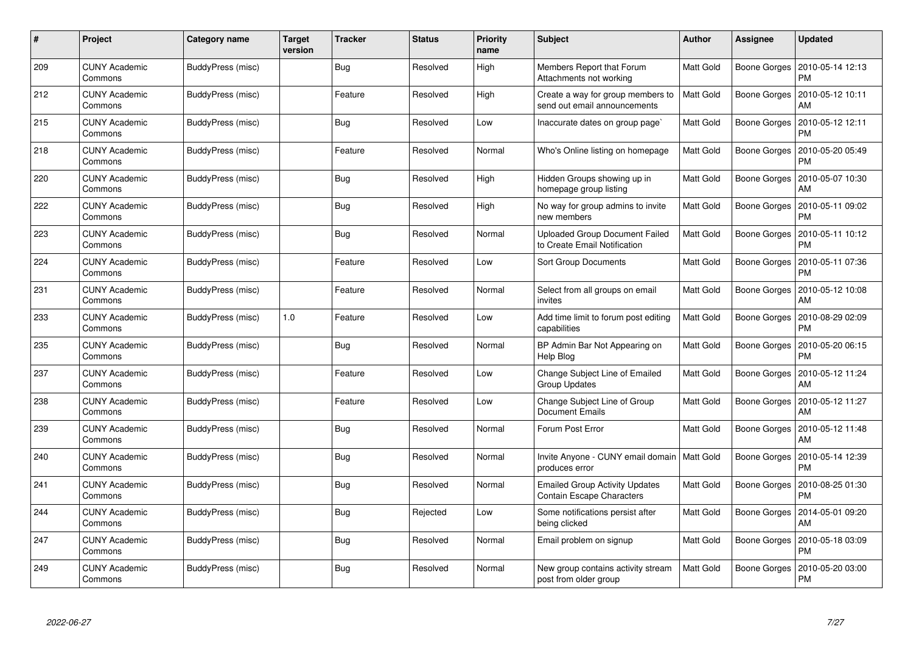| #   | Project                         | Category name     | <b>Target</b><br>version | <b>Tracker</b> | <b>Status</b> | <b>Priority</b><br>name | <b>Subject</b>                                                        | <b>Author</b>    | Assignee     | Updated                       |
|-----|---------------------------------|-------------------|--------------------------|----------------|---------------|-------------------------|-----------------------------------------------------------------------|------------------|--------------|-------------------------------|
| 209 | <b>CUNY Academic</b><br>Commons | BuddyPress (misc) |                          | <b>Bug</b>     | Resolved      | High                    | Members Report that Forum<br>Attachments not working                  | Matt Gold        | Boone Gorges | 2010-05-14 12:13<br><b>PM</b> |
| 212 | <b>CUNY Academic</b><br>Commons | BuddyPress (misc) |                          | Feature        | Resolved      | High                    | Create a way for group members to<br>send out email announcements     | Matt Gold        | Boone Gorges | 2010-05-12 10:11<br>AM        |
| 215 | <b>CUNY Academic</b><br>Commons | BuddyPress (misc) |                          | Bug            | Resolved      | Low                     | Inaccurate dates on group page`                                       | Matt Gold        | Boone Gorges | 2010-05-12 12:11<br>PM        |
| 218 | <b>CUNY Academic</b><br>Commons | BuddyPress (misc) |                          | Feature        | Resolved      | Normal                  | Who's Online listing on homepage                                      | Matt Gold        | Boone Gorges | 2010-05-20 05:49<br>PM        |
| 220 | <b>CUNY Academic</b><br>Commons | BuddyPress (misc) |                          | Bug            | Resolved      | High                    | Hidden Groups showing up in<br>homepage group listing                 | Matt Gold        | Boone Gorges | 2010-05-07 10:30<br>AM        |
| 222 | <b>CUNY Academic</b><br>Commons | BuddyPress (misc) |                          | Bug            | Resolved      | High                    | No way for group admins to invite<br>new members                      | Matt Gold        | Boone Gorges | 2010-05-11 09:02<br>PM        |
| 223 | <b>CUNY Academic</b><br>Commons | BuddyPress (misc) |                          | <b>Bug</b>     | Resolved      | Normal                  | <b>Uploaded Group Document Failed</b><br>to Create Email Notification | Matt Gold        | Boone Gorges | 2010-05-11 10:12<br><b>PM</b> |
| 224 | <b>CUNY Academic</b><br>Commons | BuddyPress (misc) |                          | Feature        | Resolved      | Low                     | Sort Group Documents                                                  | Matt Gold        | Boone Gorges | 2010-05-11 07:36<br>PM        |
| 231 | <b>CUNY Academic</b><br>Commons | BuddyPress (misc) |                          | Feature        | Resolved      | Normal                  | Select from all groups on email<br>invites                            | Matt Gold        | Boone Gorges | 2010-05-12 10:08<br>AM        |
| 233 | <b>CUNY Academic</b><br>Commons | BuddyPress (misc) | 1.0                      | Feature        | Resolved      | Low                     | Add time limit to forum post editing<br>capabilities                  | <b>Matt Gold</b> | Boone Gorges | 2010-08-29 02:09<br>PM        |
| 235 | <b>CUNY Academic</b><br>Commons | BuddyPress (misc) |                          | <b>Bug</b>     | Resolved      | Normal                  | BP Admin Bar Not Appearing on<br>Help Blog                            | Matt Gold        | Boone Gorges | 2010-05-20 06:15<br>PM        |
| 237 | <b>CUNY Academic</b><br>Commons | BuddyPress (misc) |                          | Feature        | Resolved      | Low                     | Change Subject Line of Emailed<br><b>Group Updates</b>                | Matt Gold        | Boone Gorges | 2010-05-12 11:24<br>AM        |
| 238 | <b>CUNY Academic</b><br>Commons | BuddyPress (misc) |                          | Feature        | Resolved      | Low                     | Change Subject Line of Group<br><b>Document Emails</b>                | Matt Gold        | Boone Gorges | 2010-05-12 11:27<br>AM        |
| 239 | <b>CUNY Academic</b><br>Commons | BuddyPress (misc) |                          | Bug            | Resolved      | Normal                  | Forum Post Error                                                      | Matt Gold        | Boone Gorges | 2010-05-12 11:48<br>AM        |
| 240 | <b>CUNY Academic</b><br>Commons | BuddyPress (misc) |                          | <b>Bug</b>     | Resolved      | Normal                  | Invite Anyone - CUNY email domain<br>produces error                   | <b>Matt Gold</b> | Boone Gorges | 2010-05-14 12:39<br>PM        |
| 241 | <b>CUNY Academic</b><br>Commons | BuddyPress (misc) |                          | Bug            | Resolved      | Normal                  | <b>Emailed Group Activity Updates</b><br>Contain Escape Characters    | Matt Gold        | Boone Gorges | 2010-08-25 01:30<br>PM        |
| 244 | <b>CUNY Academic</b><br>Commons | BuddyPress (misc) |                          | <b>Bug</b>     | Rejected      | Low                     | Some notifications persist after<br>being clicked                     | Matt Gold        | Boone Gorges | 2014-05-01 09:20<br>AM        |
| 247 | <b>CUNY Academic</b><br>Commons | BuddyPress (misc) |                          | <b>Bug</b>     | Resolved      | Normal                  | Email problem on signup                                               | Matt Gold        | Boone Gorges | 2010-05-18 03:09<br>PM        |
| 249 | <b>CUNY Academic</b><br>Commons | BuddyPress (misc) |                          | <b>Bug</b>     | Resolved      | Normal                  | New group contains activity stream<br>post from older group           | Matt Gold        | Boone Gorges | 2010-05-20 03:00<br><b>PM</b> |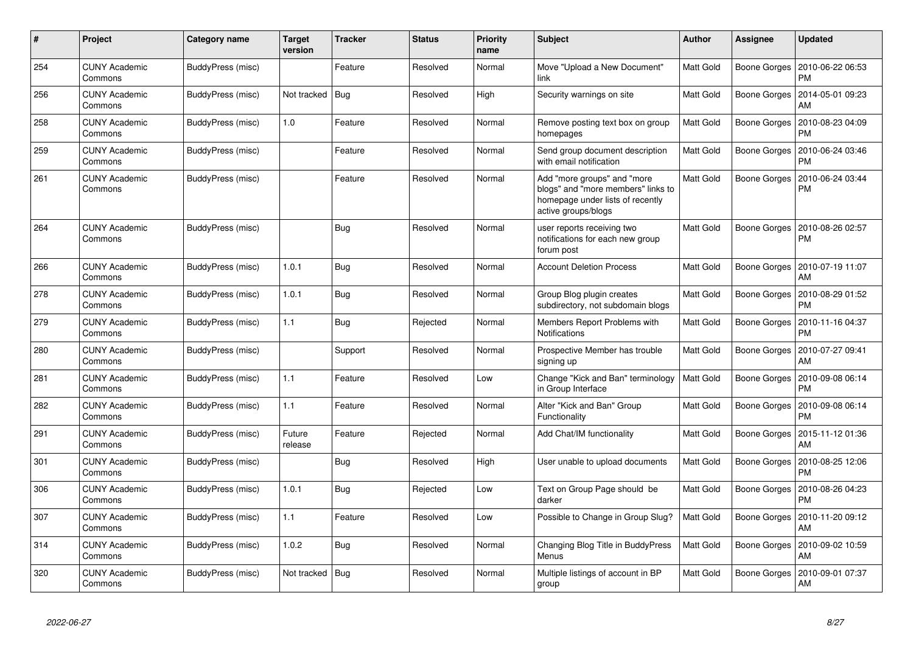| #   | Project                         | <b>Category name</b> | <b>Target</b><br>version | <b>Tracker</b> | <b>Status</b> | <b>Priority</b><br>name | <b>Subject</b>                                                                                                               | <b>Author</b>    | <b>Assignee</b> | <b>Updated</b>                |
|-----|---------------------------------|----------------------|--------------------------|----------------|---------------|-------------------------|------------------------------------------------------------------------------------------------------------------------------|------------------|-----------------|-------------------------------|
| 254 | <b>CUNY Academic</b><br>Commons | BuddyPress (misc)    |                          | Feature        | Resolved      | Normal                  | Move "Upload a New Document"<br>link                                                                                         | <b>Matt Gold</b> | Boone Gorges    | 2010-06-22 06:53<br><b>PM</b> |
| 256 | <b>CUNY Academic</b><br>Commons | BuddyPress (misc)    | Not tracked              | Bug            | Resolved      | High                    | Security warnings on site                                                                                                    | Matt Gold        | Boone Gorges    | 2014-05-01 09:23<br>AM        |
| 258 | <b>CUNY Academic</b><br>Commons | BuddyPress (misc)    | 1.0                      | Feature        | Resolved      | Normal                  | Remove posting text box on group<br>homepages                                                                                | Matt Gold        | Boone Gorges    | 2010-08-23 04:09<br>PM        |
| 259 | <b>CUNY Academic</b><br>Commons | BuddyPress (misc)    |                          | Feature        | Resolved      | Normal                  | Send group document description<br>with email notification                                                                   | <b>Matt Gold</b> | Boone Gorges    | 2010-06-24 03:46<br><b>PM</b> |
| 261 | <b>CUNY Academic</b><br>Commons | BuddyPress (misc)    |                          | Feature        | Resolved      | Normal                  | Add "more groups" and "more<br>blogs" and "more members" links to<br>homepage under lists of recently<br>active groups/blogs | <b>Matt Gold</b> | Boone Gorges    | 2010-06-24 03:44<br><b>PM</b> |
| 264 | <b>CUNY Academic</b><br>Commons | BuddyPress (misc)    |                          | <b>Bug</b>     | Resolved      | Normal                  | user reports receiving two<br>notifications for each new group<br>forum post                                                 | Matt Gold        | Boone Gorges    | 2010-08-26 02:57<br>PM        |
| 266 | <b>CUNY Academic</b><br>Commons | BuddyPress (misc)    | 1.0.1                    | Bug            | Resolved      | Normal                  | <b>Account Deletion Process</b>                                                                                              | <b>Matt Gold</b> | Boone Gorges    | 2010-07-19 11:07<br>AM        |
| 278 | <b>CUNY Academic</b><br>Commons | BuddyPress (misc)    | 1.0.1                    | Bug            | Resolved      | Normal                  | Group Blog plugin creates<br>subdirectory, not subdomain blogs                                                               | Matt Gold        | Boone Gorges    | 2010-08-29 01:52<br>PM        |
| 279 | <b>CUNY Academic</b><br>Commons | BuddyPress (misc)    | 1.1                      | <b>Bug</b>     | Rejected      | Normal                  | Members Report Problems with<br><b>Notifications</b>                                                                         | <b>Matt Gold</b> | Boone Gorges    | 2010-11-16 04:37<br><b>PM</b> |
| 280 | <b>CUNY Academic</b><br>Commons | BuddyPress (misc)    |                          | Support        | Resolved      | Normal                  | Prospective Member has trouble<br>signing up                                                                                 | Matt Gold        | Boone Gorges    | 2010-07-27 09:41<br>AM        |
| 281 | <b>CUNY Academic</b><br>Commons | BuddyPress (misc)    | 1.1                      | Feature        | Resolved      | Low                     | Change "Kick and Ban" terminology<br>in Group Interface                                                                      | Matt Gold        | Boone Gorges    | 2010-09-08 06:14<br><b>PM</b> |
| 282 | <b>CUNY Academic</b><br>Commons | BuddyPress (misc)    | 1.1                      | Feature        | Resolved      | Normal                  | Alter "Kick and Ban" Group<br>Functionality                                                                                  | <b>Matt Gold</b> | Boone Gorges    | 2010-09-08 06:14<br><b>PM</b> |
| 291 | <b>CUNY Academic</b><br>Commons | BuddyPress (misc)    | Future<br>release        | Feature        | Rejected      | Normal                  | Add Chat/IM functionality                                                                                                    | Matt Gold        | Boone Gorges    | 2015-11-12 01:36<br>AM        |
| 301 | <b>CUNY Academic</b><br>Commons | BuddyPress (misc)    |                          | Bug            | Resolved      | High                    | User unable to upload documents                                                                                              | Matt Gold        | Boone Gorges    | 2010-08-25 12:06<br>PM        |
| 306 | <b>CUNY Academic</b><br>Commons | BuddyPress (misc)    | 1.0.1                    | Bug            | Rejected      | Low                     | Text on Group Page should be<br>darker                                                                                       | Matt Gold        | Boone Gorges    | 2010-08-26 04:23<br>PM        |
| 307 | <b>CUNY Academic</b><br>Commons | BuddyPress (misc)    | 1.1                      | Feature        | Resolved      | Low                     | Possible to Change in Group Slug?                                                                                            | <b>Matt Gold</b> | Boone Gorges    | 2010-11-20 09:12<br>AM        |
| 314 | <b>CUNY Academic</b><br>Commons | BuddyPress (misc)    | 1.0.2                    | Bug            | Resolved      | Normal                  | Changing Blog Title in BuddyPress<br>Menus                                                                                   | <b>Matt Gold</b> | Boone Gorges    | 2010-09-02 10:59<br>AM        |
| 320 | <b>CUNY Academic</b><br>Commons | BuddyPress (misc)    | Not tracked              | l Bug          | Resolved      | Normal                  | Multiple listings of account in BP<br>group                                                                                  | <b>Matt Gold</b> | Boone Gorges    | 2010-09-01 07:37<br>AM        |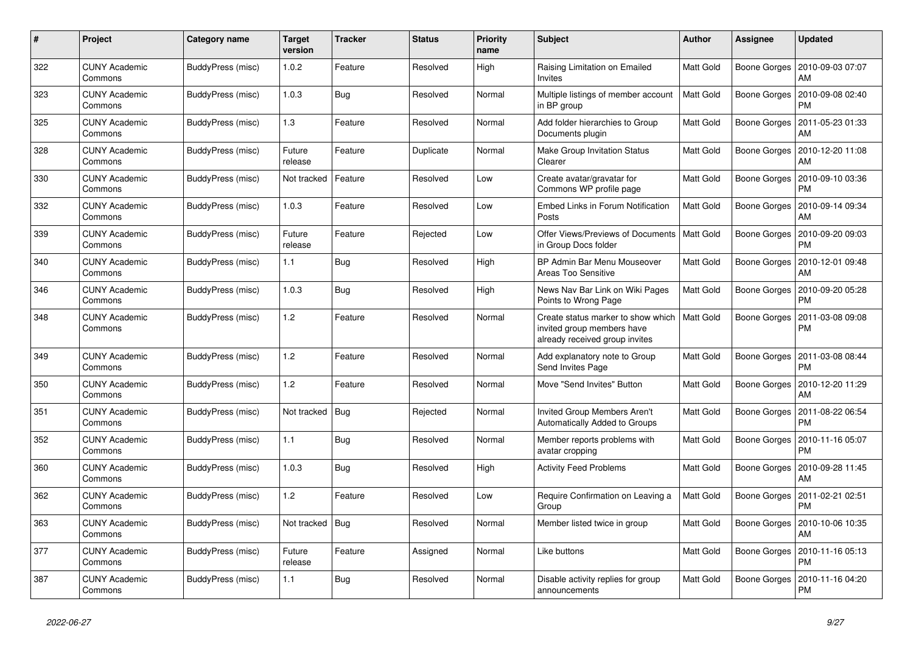| #   | Project                         | Category name     | <b>Target</b><br>version | <b>Tracker</b> | <b>Status</b> | <b>Priority</b><br>name | <b>Subject</b>                                                                                     | <b>Author</b>    | Assignee     | Updated                       |
|-----|---------------------------------|-------------------|--------------------------|----------------|---------------|-------------------------|----------------------------------------------------------------------------------------------------|------------------|--------------|-------------------------------|
| 322 | <b>CUNY Academic</b><br>Commons | BuddyPress (misc) | 1.0.2                    | Feature        | Resolved      | High                    | Raising Limitation on Emailed<br>Invites                                                           | Matt Gold        | Boone Gorges | 2010-09-03 07:07<br>AM        |
| 323 | <b>CUNY Academic</b><br>Commons | BuddyPress (misc) | 1.0.3                    | Bug            | Resolved      | Normal                  | Multiple listings of member account<br>in BP group                                                 | Matt Gold        | Boone Gorges | 2010-09-08 02:40<br>PM        |
| 325 | <b>CUNY Academic</b><br>Commons | BuddyPress (misc) | 1.3                      | Feature        | Resolved      | Normal                  | Add folder hierarchies to Group<br>Documents plugin                                                | Matt Gold        | Boone Gorges | 2011-05-23 01:33<br>AM        |
| 328 | <b>CUNY Academic</b><br>Commons | BuddyPress (misc) | Future<br>release        | Feature        | Duplicate     | Normal                  | <b>Make Group Invitation Status</b><br>Clearer                                                     | Matt Gold        | Boone Gorges | 2010-12-20 11:08<br>AM        |
| 330 | <b>CUNY Academic</b><br>Commons | BuddyPress (misc) | Not tracked              | Feature        | Resolved      | Low                     | Create avatar/gravatar for<br>Commons WP profile page                                              | Matt Gold        | Boone Gorges | 2010-09-10 03:36<br>PM        |
| 332 | <b>CUNY Academic</b><br>Commons | BuddyPress (misc) | 1.0.3                    | Feature        | Resolved      | Low                     | Embed Links in Forum Notification<br>Posts                                                         | <b>Matt Gold</b> | Boone Gorges | 2010-09-14 09:34<br>AM        |
| 339 | <b>CUNY Academic</b><br>Commons | BuddyPress (misc) | Future<br>release        | Feature        | Rejected      | Low                     | Offer Views/Previews of Documents<br>in Group Docs folder                                          | <b>Matt Gold</b> | Boone Gorges | 2010-09-20 09:03<br><b>PM</b> |
| 340 | <b>CUNY Academic</b><br>Commons | BuddyPress (misc) | 1.1                      | <b>Bug</b>     | Resolved      | High                    | BP Admin Bar Menu Mouseover<br><b>Areas Too Sensitive</b>                                          | Matt Gold        | Boone Gorges | 2010-12-01 09:48<br>AM        |
| 346 | <b>CUNY Academic</b><br>Commons | BuddyPress (misc) | 1.0.3                    | <b>Bug</b>     | Resolved      | High                    | News Nav Bar Link on Wiki Pages<br>Points to Wrong Page                                            | Matt Gold        | Boone Gorges | 2010-09-20 05:28<br>PM        |
| 348 | <b>CUNY Academic</b><br>Commons | BuddyPress (misc) | 1.2                      | Feature        | Resolved      | Normal                  | Create status marker to show which<br>invited group members have<br>already received group invites | Matt Gold        | Boone Gorges | 2011-03-08 09:08<br><b>PM</b> |
| 349 | <b>CUNY Academic</b><br>Commons | BuddyPress (misc) | 1.2                      | Feature        | Resolved      | Normal                  | Add explanatory note to Group<br>Send Invites Page                                                 | Matt Gold        | Boone Gorges | 2011-03-08 08:44<br><b>PM</b> |
| 350 | <b>CUNY Academic</b><br>Commons | BuddyPress (misc) | 1.2                      | Feature        | Resolved      | Normal                  | Move "Send Invites" Button                                                                         | Matt Gold        | Boone Gorges | 2010-12-20 11:29<br>AM        |
| 351 | <b>CUNY Academic</b><br>Commons | BuddyPress (misc) | Not tracked              | <b>Bug</b>     | Rejected      | Normal                  | Invited Group Members Aren't<br>Automatically Added to Groups                                      | Matt Gold        | Boone Gorges | 2011-08-22 06:54<br>PM        |
| 352 | <b>CUNY Academic</b><br>Commons | BuddyPress (misc) | 1.1                      | <b>Bug</b>     | Resolved      | Normal                  | Member reports problems with<br>avatar cropping                                                    | Matt Gold        | Boone Gorges | 2010-11-16 05:07<br>PM        |
| 360 | <b>CUNY Academic</b><br>Commons | BuddyPress (misc) | 1.0.3                    | <b>Bug</b>     | Resolved      | High                    | <b>Activity Feed Problems</b>                                                                      | Matt Gold        | Boone Gorges | 2010-09-28 11:45<br>AM        |
| 362 | <b>CUNY Academic</b><br>Commons | BuddyPress (misc) | 1.2                      | Feature        | Resolved      | Low                     | Require Confirmation on Leaving a<br>Group                                                         | Matt Gold        | Boone Gorges | 2011-02-21 02:51<br>PM        |
| 363 | <b>CUNY Academic</b><br>Commons | BuddyPress (misc) | Not tracked              | Bug            | Resolved      | Normal                  | Member listed twice in group                                                                       | Matt Gold        | Boone Gorges | 2010-10-06 10:35<br>AM        |
| 377 | <b>CUNY Academic</b><br>Commons | BuddyPress (misc) | Future<br>release        | Feature        | Assigned      | Normal                  | Like buttons                                                                                       | Matt Gold        | Boone Gorges | 2010-11-16 05:13<br><b>PM</b> |
| 387 | <b>CUNY Academic</b><br>Commons | BuddyPress (misc) | 1.1                      | Bug            | Resolved      | Normal                  | Disable activity replies for group<br>announcements                                                | Matt Gold        | Boone Gorges | 2010-11-16 04:20<br>PM        |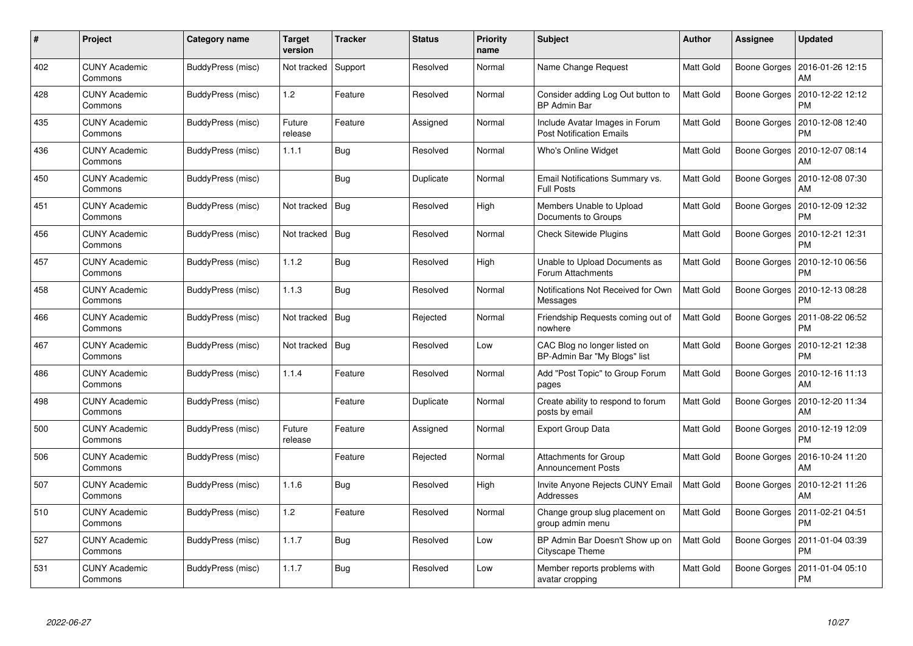| $\#$ | Project                         | Category name     | <b>Target</b><br>version | <b>Tracker</b> | <b>Status</b> | <b>Priority</b><br>name | <b>Subject</b>                                                    | <b>Author</b>    | Assignee            | <b>Updated</b>                |
|------|---------------------------------|-------------------|--------------------------|----------------|---------------|-------------------------|-------------------------------------------------------------------|------------------|---------------------|-------------------------------|
| 402  | <b>CUNY Academic</b><br>Commons | BuddyPress (misc) | Not tracked              | Support        | Resolved      | Normal                  | Name Change Request                                               | <b>Matt Gold</b> | Boone Gorges        | 2016-01-26 12:15<br>AM        |
| 428  | <b>CUNY Academic</b><br>Commons | BuddyPress (misc) | 1.2                      | Feature        | Resolved      | Normal                  | Consider adding Log Out button to<br><b>BP Admin Bar</b>          | <b>Matt Gold</b> | Boone Gorges        | 2010-12-22 12:12<br><b>PM</b> |
| 435  | <b>CUNY Academic</b><br>Commons | BuddyPress (misc) | Future<br>release        | Feature        | Assigned      | Normal                  | Include Avatar Images in Forum<br><b>Post Notification Emails</b> | Matt Gold        | Boone Gorges        | 2010-12-08 12:40<br>PM        |
| 436  | <b>CUNY Academic</b><br>Commons | BuddyPress (misc) | 1.1.1                    | <b>Bug</b>     | Resolved      | Normal                  | Who's Online Widget                                               | Matt Gold        | Boone Gorges        | 2010-12-07 08:14<br>AM        |
| 450  | <b>CUNY Academic</b><br>Commons | BuddyPress (misc) |                          | Bug            | Duplicate     | Normal                  | Email Notifications Summary vs.<br><b>Full Posts</b>              | <b>Matt Gold</b> | Boone Gorges        | 2010-12-08 07:30<br>AM        |
| 451  | <b>CUNY Academic</b><br>Commons | BuddyPress (misc) | Not tracked              | <b>Bug</b>     | Resolved      | High                    | Members Unable to Upload<br>Documents to Groups                   | Matt Gold        | Boone Gorges        | 2010-12-09 12:32<br>PM        |
| 456  | <b>CUNY Academic</b><br>Commons | BuddyPress (misc) | Not tracked              | Bug            | Resolved      | Normal                  | <b>Check Sitewide Plugins</b>                                     | Matt Gold        | Boone Gorges        | 2010-12-21 12:31<br>PM        |
| 457  | <b>CUNY Academic</b><br>Commons | BuddyPress (misc) | 1.1.2                    | <b>Bug</b>     | Resolved      | High                    | Unable to Upload Documents as<br>Forum Attachments                | Matt Gold        | Boone Gorges        | 2010-12-10 06:56<br><b>PM</b> |
| 458  | <b>CUNY Academic</b><br>Commons | BuddyPress (misc) | 1.1.3                    | Bug            | Resolved      | Normal                  | Notifications Not Received for Own<br>Messages                    | <b>Matt Gold</b> | Boone Gorges        | 2010-12-13 08:28<br><b>PM</b> |
| 466  | <b>CUNY Academic</b><br>Commons | BuddyPress (misc) | Not tracked              | <b>Bug</b>     | Rejected      | Normal                  | Friendship Requests coming out of<br>nowhere                      | <b>Matt Gold</b> | Boone Gorges        | 2011-08-22 06:52<br><b>PM</b> |
| 467  | <b>CUNY Academic</b><br>Commons | BuddyPress (misc) | Not tracked              | <b>Bug</b>     | Resolved      | Low                     | CAC Blog no longer listed on<br>BP-Admin Bar "My Blogs" list      | <b>Matt Gold</b> | Boone Gorges        | 2010-12-21 12:38<br><b>PM</b> |
| 486  | <b>CUNY Academic</b><br>Commons | BuddyPress (misc) | 1.1.4                    | Feature        | Resolved      | Normal                  | Add "Post Topic" to Group Forum<br>pages                          | Matt Gold        | Boone Gorges        | 2010-12-16 11:13<br>AM        |
| 498  | <b>CUNY Academic</b><br>Commons | BuddyPress (misc) |                          | Feature        | Duplicate     | Normal                  | Create ability to respond to forum<br>posts by email              | Matt Gold        | Boone Gorges        | 2010-12-20 11:34<br>AM        |
| 500  | <b>CUNY Academic</b><br>Commons | BuddyPress (misc) | Future<br>release        | Feature        | Assigned      | Normal                  | Export Group Data                                                 | Matt Gold        | Boone Gorges        | 2010-12-19 12:09<br><b>PM</b> |
| 506  | <b>CUNY Academic</b><br>Commons | BuddyPress (misc) |                          | Feature        | Rejected      | Normal                  | <b>Attachments for Group</b><br><b>Announcement Posts</b>         | Matt Gold        | <b>Boone Gorges</b> | 2016-10-24 11:20<br>AM        |
| 507  | <b>CUNY Academic</b><br>Commons | BuddyPress (misc) | 1.1.6                    | Bug            | Resolved      | High                    | Invite Anyone Rejects CUNY Email<br>Addresses                     | <b>Matt Gold</b> | Boone Gorges        | 2010-12-21 11:26<br>AM        |
| 510  | <b>CUNY Academic</b><br>Commons | BuddyPress (misc) | 1.2                      | Feature        | Resolved      | Normal                  | Change group slug placement on<br>group admin menu                | Matt Gold        | Boone Gorges        | 2011-02-21 04:51<br><b>PM</b> |
| 527  | <b>CUNY Academic</b><br>Commons | BuddyPress (misc) | 1.1.7                    | <b>Bug</b>     | Resolved      | Low                     | BP Admin Bar Doesn't Show up on<br>Cityscape Theme                | Matt Gold        | Boone Gorges        | 2011-01-04 03:39<br><b>PM</b> |
| 531  | CUNY Academic<br>Commons        | BuddyPress (misc) | 1.1.7                    | <b>Bug</b>     | Resolved      | Low                     | Member reports problems with<br>avatar cropping                   | Matt Gold        | Boone Gorges        | 2011-01-04 05:10<br><b>PM</b> |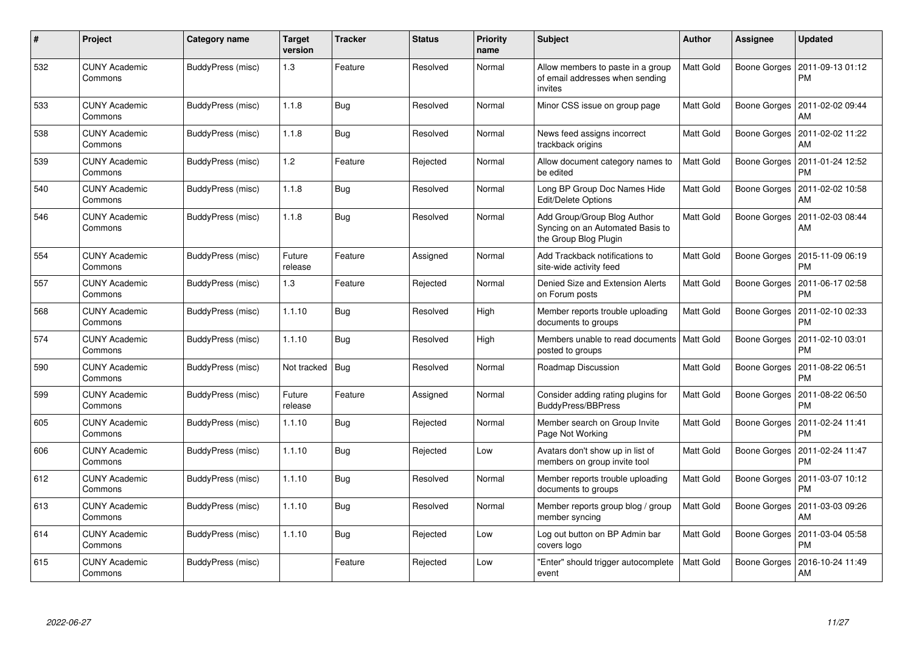| $\#$ | Project                         | <b>Category name</b> | <b>Target</b><br>version | <b>Tracker</b> | <b>Status</b> | <b>Priority</b><br>name | <b>Subject</b>                                                                           | <b>Author</b> | <b>Assignee</b> | <b>Updated</b>                |
|------|---------------------------------|----------------------|--------------------------|----------------|---------------|-------------------------|------------------------------------------------------------------------------------------|---------------|-----------------|-------------------------------|
| 532  | <b>CUNY Academic</b><br>Commons | BuddyPress (misc)    | 1.3                      | Feature        | Resolved      | Normal                  | Allow members to paste in a group<br>of email addresses when sending<br>invites          | Matt Gold     | Boone Gorges    | 2011-09-13 01:12<br><b>PM</b> |
| 533  | <b>CUNY Academic</b><br>Commons | BuddyPress (misc)    | 1.1.8                    | <b>Bug</b>     | Resolved      | Normal                  | Minor CSS issue on group page                                                            | Matt Gold     | Boone Gorges    | 2011-02-02 09:44<br>AM        |
| 538  | <b>CUNY Academic</b><br>Commons | BuddyPress (misc)    | 1.1.8                    | Bug            | Resolved      | Normal                  | News feed assigns incorrect<br>trackback origins                                         | Matt Gold     | Boone Gorges    | 2011-02-02 11:22<br>AM        |
| 539  | <b>CUNY Academic</b><br>Commons | BuddyPress (misc)    | 1.2                      | Feature        | Rejected      | Normal                  | Allow document category names to<br>be edited                                            | Matt Gold     | Boone Gorges    | 2011-01-24 12:52<br><b>PM</b> |
| 540  | <b>CUNY Academic</b><br>Commons | BuddyPress (misc)    | 1.1.8                    | <b>Bug</b>     | Resolved      | Normal                  | Long BP Group Doc Names Hide<br><b>Edit/Delete Options</b>                               | Matt Gold     | Boone Gorges    | 2011-02-02 10:58<br>AM        |
| 546  | <b>CUNY Academic</b><br>Commons | BuddyPress (misc)    | 1.1.8                    | <b>Bug</b>     | Resolved      | Normal                  | Add Group/Group Blog Author<br>Syncing on an Automated Basis to<br>the Group Blog Plugin | Matt Gold     | Boone Gorges    | 2011-02-03 08:44<br>AM        |
| 554  | <b>CUNY Academic</b><br>Commons | BuddyPress (misc)    | Future<br>release        | Feature        | Assigned      | Normal                  | Add Trackback notifications to<br>site-wide activity feed                                | Matt Gold     | Boone Gorges    | 2015-11-09 06:19<br><b>PM</b> |
| 557  | <b>CUNY Academic</b><br>Commons | BuddyPress (misc)    | 1.3                      | Feature        | Rejected      | Normal                  | Denied Size and Extension Alerts<br>on Forum posts                                       | Matt Gold     | Boone Gorges    | 2011-06-17 02:58<br><b>PM</b> |
| 568  | <b>CUNY Academic</b><br>Commons | BuddyPress (misc)    | 1.1.10                   | <b>Bug</b>     | Resolved      | High                    | Member reports trouble uploading<br>documents to groups                                  | Matt Gold     | Boone Gorges    | 2011-02-10 02:33<br><b>PM</b> |
| 574  | <b>CUNY Academic</b><br>Commons | BuddyPress (misc)    | 1.1.10                   | <b>Bug</b>     | Resolved      | High                    | Members unable to read documents<br>posted to groups                                     | Matt Gold     | Boone Gorges    | 2011-02-10 03:01<br><b>PM</b> |
| 590  | <b>CUNY Academic</b><br>Commons | BuddyPress (misc)    | Not tracked              | <b>Bug</b>     | Resolved      | Normal                  | Roadmap Discussion                                                                       | Matt Gold     | Boone Gorges    | 2011-08-22 06:51<br><b>PM</b> |
| 599  | <b>CUNY Academic</b><br>Commons | BuddyPress (misc)    | Future<br>release        | Feature        | Assigned      | Normal                  | Consider adding rating plugins for<br>BuddyPress/BBPress                                 | Matt Gold     | Boone Gorges    | 2011-08-22 06:50<br><b>PM</b> |
| 605  | <b>CUNY Academic</b><br>Commons | BuddyPress (misc)    | 1.1.10                   | <b>Bug</b>     | Rejected      | Normal                  | Member search on Group Invite<br>Page Not Working                                        | Matt Gold     | Boone Gorges    | 2011-02-24 11:41<br><b>PM</b> |
| 606  | <b>CUNY Academic</b><br>Commons | BuddyPress (misc)    | 1.1.10                   | <b>Bug</b>     | Rejected      | Low                     | Avatars don't show up in list of<br>members on group invite tool                         | Matt Gold     | Boone Gorges    | 2011-02-24 11:47<br><b>PM</b> |
| 612  | <b>CUNY Academic</b><br>Commons | BuddyPress (misc)    | 1.1.10                   | Bug            | Resolved      | Normal                  | Member reports trouble uploading<br>documents to groups                                  | Matt Gold     | Boone Gorges    | 2011-03-07 10:12<br><b>PM</b> |
| 613  | <b>CUNY Academic</b><br>Commons | BuddyPress (misc)    | 1.1.10                   | Bug            | Resolved      | Normal                  | Member reports group blog / group<br>member syncing                                      | Matt Gold     | Boone Gorges    | 2011-03-03 09:26<br>AM        |
| 614  | <b>CUNY Academic</b><br>Commons | BuddyPress (misc)    | 1.1.10                   | <b>Bug</b>     | Rejected      | Low                     | Log out button on BP Admin bar<br>covers logo                                            | Matt Gold     | Boone Gorges    | 2011-03-04 05:58<br><b>PM</b> |
| 615  | <b>CUNY Academic</b><br>Commons | BuddyPress (misc)    |                          | Feature        | Rejected      | Low                     | 'Enter" should trigger autocomplete<br>event                                             | Matt Gold     | Boone Gorges    | 2016-10-24 11:49<br>AM        |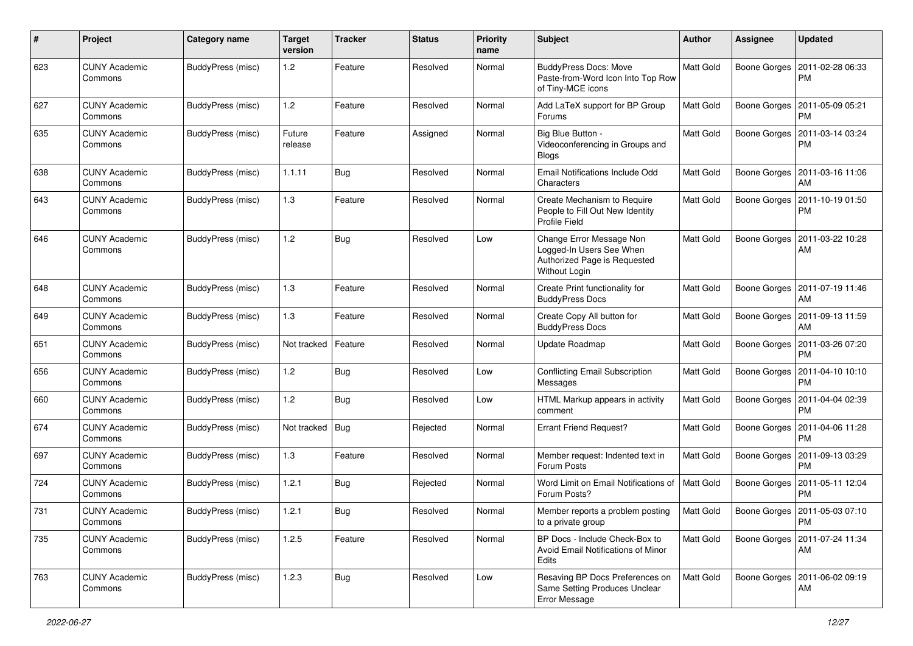| #   | Project                         | <b>Category name</b>     | <b>Target</b><br>version | <b>Tracker</b> | <b>Status</b> | <b>Priority</b><br>name | <b>Subject</b>                                                                                        | Author           | <b>Assignee</b> | <b>Updated</b>                        |
|-----|---------------------------------|--------------------------|--------------------------|----------------|---------------|-------------------------|-------------------------------------------------------------------------------------------------------|------------------|-----------------|---------------------------------------|
| 623 | <b>CUNY Academic</b><br>Commons | <b>BuddyPress (misc)</b> | 1.2                      | Feature        | Resolved      | Normal                  | <b>BuddyPress Docs: Move</b><br>Paste-from-Word Icon Into Top Row<br>of Tiny-MCE icons                | Matt Gold        | Boone Gorges    | 2011-02-28 06:33<br><b>PM</b>         |
| 627 | <b>CUNY Academic</b><br>Commons | <b>BuddyPress (misc)</b> | 1.2                      | Feature        | Resolved      | Normal                  | Add LaTeX support for BP Group<br>Forums                                                              | <b>Matt Gold</b> | Boone Gorges    | 2011-05-09 05:21<br><b>PM</b>         |
| 635 | <b>CUNY Academic</b><br>Commons | BuddyPress (misc)        | Future<br>release        | Feature        | Assigned      | Normal                  | Big Blue Button -<br>Videoconferencing in Groups and<br><b>Blogs</b>                                  | Matt Gold        | Boone Gorges    | 2011-03-14 03:24<br><b>PM</b>         |
| 638 | <b>CUNY Academic</b><br>Commons | BuddyPress (misc)        | 1.1.11                   | Bug            | Resolved      | Normal                  | Email Notifications Include Odd<br>Characters                                                         | <b>Matt Gold</b> | Boone Gorges    | 2011-03-16 11:06<br>AM                |
| 643 | <b>CUNY Academic</b><br>Commons | BuddyPress (misc)        | 1.3                      | Feature        | Resolved      | Normal                  | Create Mechanism to Require<br>People to Fill Out New Identity<br>Profile Field                       | <b>Matt Gold</b> | Boone Gorges    | 2011-10-19 01:50<br><b>PM</b>         |
| 646 | <b>CUNY Academic</b><br>Commons | BuddyPress (misc)        | 1.2                      | Bug            | Resolved      | Low                     | Change Error Message Non<br>Logged-In Users See When<br>Authorized Page is Requested<br>Without Login | Matt Gold        | Boone Gorges    | 2011-03-22 10:28<br>AM                |
| 648 | <b>CUNY Academic</b><br>Commons | <b>BuddyPress (misc)</b> | 1.3                      | Feature        | Resolved      | Normal                  | Create Print functionality for<br><b>BuddyPress Docs</b>                                              | Matt Gold        | Boone Gorges    | 2011-07-19 11:46<br>AM                |
| 649 | <b>CUNY Academic</b><br>Commons | BuddyPress (misc)        | 1.3                      | Feature        | Resolved      | Normal                  | Create Copy All button for<br><b>BuddyPress Docs</b>                                                  | Matt Gold        | Boone Gorges    | 2011-09-13 11:59<br>AM                |
| 651 | CUNY Academic<br>Commons        | BuddyPress (misc)        | Not tracked              | Feature        | Resolved      | Normal                  | Update Roadmap                                                                                        | <b>Matt Gold</b> | Boone Gorges    | 2011-03-26 07:20<br><b>PM</b>         |
| 656 | <b>CUNY Academic</b><br>Commons | BuddyPress (misc)        | 1.2                      | Bug            | Resolved      | Low                     | <b>Conflicting Email Subscription</b><br>Messages                                                     | Matt Gold        | Boone Gorges    | 2011-04-10 10:10<br><b>PM</b>         |
| 660 | <b>CUNY Academic</b><br>Commons | BuddyPress (misc)        | 1.2                      | Bug            | Resolved      | Low                     | HTML Markup appears in activity<br>comment                                                            | <b>Matt Gold</b> | Boone Gorges    | 2011-04-04 02:39<br><b>PM</b>         |
| 674 | <b>CUNY Academic</b><br>Commons | BuddyPress (misc)        | Not tracked              | <b>Bug</b>     | Rejected      | Normal                  | <b>Errant Friend Request?</b>                                                                         | Matt Gold        | Boone Gorges    | 2011-04-06 11:28<br><b>PM</b>         |
| 697 | <b>CUNY Academic</b><br>Commons | BuddyPress (misc)        | 1.3                      | Feature        | Resolved      | Normal                  | Member request: Indented text in<br>Forum Posts                                                       | <b>Matt Gold</b> | Boone Gorges    | 2011-09-13 03:29<br><b>PM</b>         |
| 724 | <b>CUNY Academic</b><br>Commons | BuddyPress (misc)        | 1.2.1                    | Bug            | Rejected      | Normal                  | Word Limit on Email Notifications of<br>Forum Posts?                                                  | <b>Matt Gold</b> | Boone Gorges    | 2011-05-11 12:04<br><b>PM</b>         |
| 731 | <b>CUNY Academic</b><br>Commons | BuddyPress (misc)        | 1.2.1                    | <b>Bug</b>     | Resolved      | Normal                  | Member reports a problem posting<br>to a private group                                                | Matt Gold        |                 | Boone Gorges   2011-05-03 07:10<br>PM |
| 735 | <b>CUNY Academic</b><br>Commons | BuddyPress (misc)        | 1.2.5                    | Feature        | Resolved      | Normal                  | BP Docs - Include Check-Box to<br>Avoid Email Notifications of Minor<br>Edits                         | Matt Gold        | Boone Gorges    | 2011-07-24 11:34<br>AM                |
| 763 | <b>CUNY Academic</b><br>Commons | BuddyPress (misc)        | 1.2.3                    | <b>Bug</b>     | Resolved      | Low                     | Resaving BP Docs Preferences on<br>Same Setting Produces Unclear<br>Error Message                     | Matt Gold        |                 | Boone Gorges   2011-06-02 09:19<br>AM |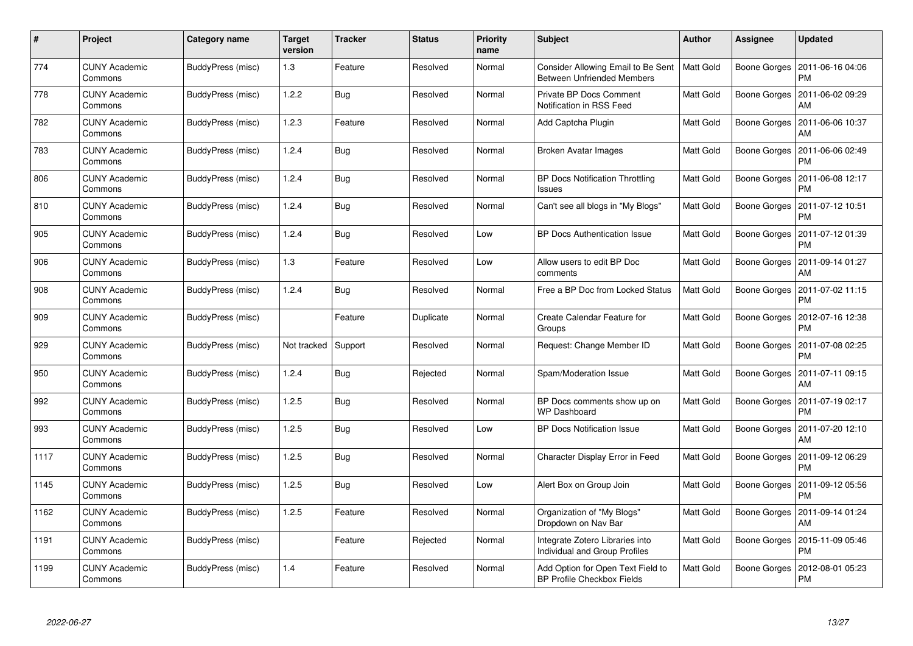| $\#$ | Project                         | Category name     | <b>Target</b><br>version | <b>Tracker</b> | <b>Status</b> | <b>Priority</b><br>name | <b>Subject</b>                                                          | <b>Author</b>    | Assignee            | <b>Updated</b>                |
|------|---------------------------------|-------------------|--------------------------|----------------|---------------|-------------------------|-------------------------------------------------------------------------|------------------|---------------------|-------------------------------|
| 774  | <b>CUNY Academic</b><br>Commons | BuddyPress (misc) | 1.3                      | Feature        | Resolved      | Normal                  | Consider Allowing Email to Be Sent<br><b>Between Unfriended Members</b> | Matt Gold        | Boone Gorges        | 2011-06-16 04:06<br>PM        |
| 778  | <b>CUNY Academic</b><br>Commons | BuddyPress (misc) | 1.2.2                    | Bug            | Resolved      | Normal                  | Private BP Docs Comment<br>Notification in RSS Feed                     | Matt Gold        | Boone Gorges        | 2011-06-02 09:29<br>AM        |
| 782  | <b>CUNY Academic</b><br>Commons | BuddyPress (misc) | 1.2.3                    | Feature        | Resolved      | Normal                  | Add Captcha Plugin                                                      | Matt Gold        | Boone Gorges        | 2011-06-06 10:37<br>AM        |
| 783  | <b>CUNY Academic</b><br>Commons | BuddyPress (misc) | 1.2.4                    | <b>Bug</b>     | Resolved      | Normal                  | <b>Broken Avatar Images</b>                                             | Matt Gold        | Boone Gorges        | 2011-06-06 02:49<br>PM        |
| 806  | <b>CUNY Academic</b><br>Commons | BuddyPress (misc) | 1.2.4                    | <b>Bug</b>     | Resolved      | Normal                  | <b>BP Docs Notification Throttling</b><br>Issues                        | <b>Matt Gold</b> | Boone Gorges        | 2011-06-08 12:17<br><b>PM</b> |
| 810  | <b>CUNY Academic</b><br>Commons | BuddyPress (misc) | 1.2.4                    | Bug            | Resolved      | Normal                  | Can't see all blogs in "My Blogs"                                       | Matt Gold        | Boone Gorges        | 2011-07-12 10:51<br>PM        |
| 905  | <b>CUNY Academic</b><br>Commons | BuddyPress (misc) | 1.2.4                    | <b>Bug</b>     | Resolved      | Low                     | <b>BP Docs Authentication Issue</b>                                     | Matt Gold        | Boone Gorges        | 2011-07-12 01:39<br><b>PM</b> |
| 906  | <b>CUNY Academic</b><br>Commons | BuddyPress (misc) | 1.3                      | Feature        | Resolved      | Low                     | Allow users to edit BP Doc<br>comments                                  | Matt Gold        | Boone Gorges        | 2011-09-14 01:27<br>AM        |
| 908  | <b>CUNY Academic</b><br>Commons | BuddyPress (misc) | 1.2.4                    | Bug            | Resolved      | Normal                  | Free a BP Doc from Locked Status                                        | <b>Matt Gold</b> | Boone Gorges        | 2011-07-02 11:15<br><b>PM</b> |
| 909  | <b>CUNY Academic</b><br>Commons | BuddyPress (misc) |                          | Feature        | Duplicate     | Normal                  | Create Calendar Feature for<br>Groups                                   | Matt Gold        | Boone Gorges        | 2012-07-16 12:38<br><b>PM</b> |
| 929  | <b>CUNY Academic</b><br>Commons | BuddyPress (misc) | Not tracked              | Support        | Resolved      | Normal                  | Request: Change Member ID                                               | Matt Gold        | Boone Gorges        | 2011-07-08 02:25<br><b>PM</b> |
| 950  | <b>CUNY Academic</b><br>Commons | BuddyPress (misc) | 1.2.4                    | <b>Bug</b>     | Rejected      | Normal                  | Spam/Moderation Issue                                                   | Matt Gold        | Boone Gorges        | 2011-07-11 09:15<br>AM        |
| 992  | <b>CUNY Academic</b><br>Commons | BuddyPress (misc) | 1.2.5                    | Bug            | Resolved      | Normal                  | BP Docs comments show up on<br><b>WP Dashboard</b>                      | Matt Gold        | Boone Gorges        | 2011-07-19 02:17<br><b>PM</b> |
| 993  | <b>CUNY Academic</b><br>Commons | BuddyPress (misc) | 1.2.5                    | <b>Bug</b>     | Resolved      | Low                     | <b>BP Docs Notification Issue</b>                                       | Matt Gold        | Boone Gorges        | 2011-07-20 12:10<br>AM        |
| 1117 | <b>CUNY Academic</b><br>Commons | BuddyPress (misc) | 1.2.5                    | <b>Bug</b>     | Resolved      | Normal                  | Character Display Error in Feed                                         | Matt Gold        | <b>Boone Gorges</b> | 2011-09-12 06:29<br>PM        |
| 1145 | <b>CUNY Academic</b><br>Commons | BuddyPress (misc) | 1.2.5                    | Bug            | Resolved      | Low                     | Alert Box on Group Join                                                 | Matt Gold        | Boone Gorges        | 2011-09-12 05:56<br>PM        |
| 1162 | <b>CUNY Academic</b><br>Commons | BuddyPress (misc) | 1.2.5                    | Feature        | Resolved      | Normal                  | Organization of "My Blogs"<br>Dropdown on Nav Bar                       | Matt Gold        | Boone Gorges        | 2011-09-14 01:24<br>AM        |
| 1191 | <b>CUNY Academic</b><br>Commons | BuddyPress (misc) |                          | Feature        | Rejected      | Normal                  | Integrate Zotero Libraries into<br>Individual and Group Profiles        | Matt Gold        | Boone Gorges        | 2015-11-09 05:46<br><b>PM</b> |
| 1199 | CUNY Academic<br>Commons        | BuddyPress (misc) | 1.4                      | Feature        | Resolved      | Normal                  | Add Option for Open Text Field to<br><b>BP Profile Checkbox Fields</b>  | <b>Matt Gold</b> | Boone Gorges        | 2012-08-01 05:23<br><b>PM</b> |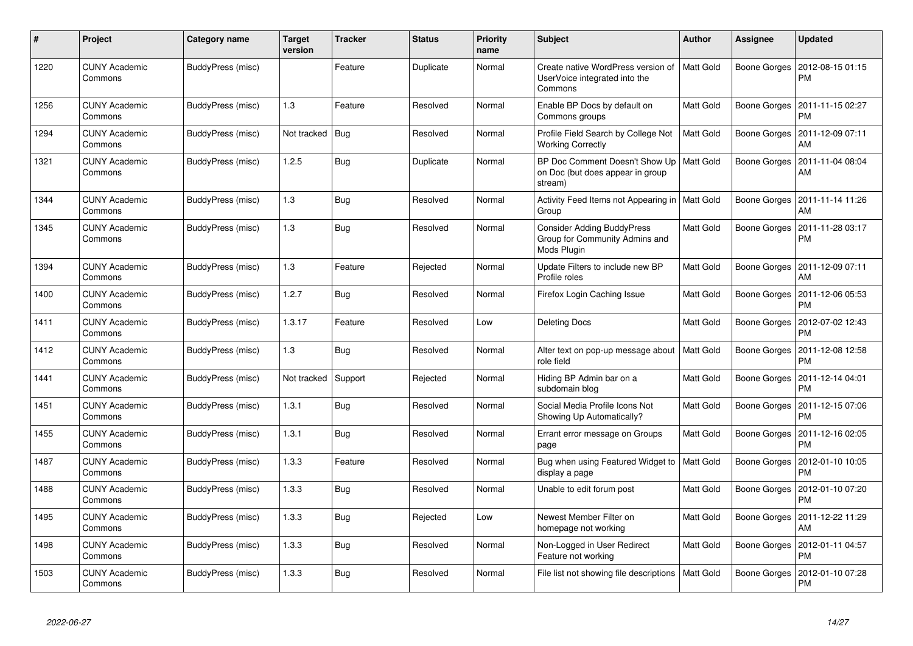| #    | <b>Project</b>                  | Category name     | <b>Target</b><br>version | <b>Tracker</b> | <b>Status</b> | <b>Priority</b><br>name | <b>Subject</b>                                                                            | <b>Author</b>    | Assignee     | <b>Updated</b>                |
|------|---------------------------------|-------------------|--------------------------|----------------|---------------|-------------------------|-------------------------------------------------------------------------------------------|------------------|--------------|-------------------------------|
| 1220 | <b>CUNY Academic</b><br>Commons | BuddyPress (misc) |                          | Feature        | Duplicate     | Normal                  | Create native WordPress version of<br>UserVoice integrated into the<br>Commons            | <b>Matt Gold</b> | Boone Gorges | 2012-08-15 01:15<br><b>PM</b> |
| 1256 | <b>CUNY Academic</b><br>Commons | BuddyPress (misc) | 1.3                      | Feature        | Resolved      | Normal                  | Enable BP Docs by default on<br>Commons groups                                            | Matt Gold        | Boone Gorges | 2011-11-15 02:27<br><b>PM</b> |
| 1294 | <b>CUNY Academic</b><br>Commons | BuddyPress (misc) | Not tracked              | Bug            | Resolved      | Normal                  | Profile Field Search by College Not<br><b>Working Correctly</b>                           | Matt Gold        | Boone Gorges | 2011-12-09 07:11<br>AM        |
| 1321 | <b>CUNY Academic</b><br>Commons | BuddyPress (misc) | 1.2.5                    | Bug            | Duplicate     | Normal                  | BP Doc Comment Doesn't Show Up   Matt Gold<br>on Doc (but does appear in group<br>stream) |                  | Boone Gorges | 2011-11-04 08:04<br><b>AM</b> |
| 1344 | <b>CUNY Academic</b><br>Commons | BuddyPress (misc) | 1.3                      | <b>Bug</b>     | Resolved      | Normal                  | Activity Feed Items not Appearing in   Matt Gold<br>Group                                 |                  | Boone Gorges | 2011-11-14 11:26<br><b>AM</b> |
| 1345 | <b>CUNY Academic</b><br>Commons | BuddyPress (misc) | 1.3                      | <b>Bug</b>     | Resolved      | Normal                  | <b>Consider Adding BuddyPress</b><br>Group for Community Admins and<br>Mods Plugin        | Matt Gold        | Boone Gorges | 2011-11-28 03:17<br><b>PM</b> |
| 1394 | <b>CUNY Academic</b><br>Commons | BuddyPress (misc) | 1.3                      | Feature        | Rejected      | Normal                  | Update Filters to include new BP<br>Profile roles                                         | Matt Gold        | Boone Gorges | 2011-12-09 07:11<br>AM        |
| 1400 | <b>CUNY Academic</b><br>Commons | BuddyPress (misc) | 1.2.7                    | <b>Bug</b>     | Resolved      | Normal                  | Firefox Login Caching Issue                                                               | Matt Gold        | Boone Gorges | 2011-12-06 05:53<br><b>PM</b> |
| 1411 | <b>CUNY Academic</b><br>Commons | BuddyPress (misc) | 1.3.17                   | Feature        | Resolved      | Low                     | <b>Deleting Docs</b>                                                                      | Matt Gold        | Boone Gorges | 2012-07-02 12:43<br><b>PM</b> |
| 1412 | <b>CUNY Academic</b><br>Commons | BuddyPress (misc) | 1.3                      | <b>Bug</b>     | Resolved      | Normal                  | Alter text on pop-up message about   Matt Gold<br>role field                              |                  | Boone Gorges | 2011-12-08 12:58<br><b>PM</b> |
| 1441 | <b>CUNY Academic</b><br>Commons | BuddyPress (misc) | Not tracked              | Support        | Rejected      | Normal                  | Hiding BP Admin bar on a<br>subdomain blog                                                | Matt Gold        | Boone Gorges | 2011-12-14 04:01<br><b>PM</b> |
| 1451 | <b>CUNY Academic</b><br>Commons | BuddyPress (misc) | 1.3.1                    | Bug            | Resolved      | Normal                  | Social Media Profile Icons Not<br>Showing Up Automatically?                               | Matt Gold        | Boone Gorges | 2011-12-15 07:06<br><b>PM</b> |
| 1455 | <b>CUNY Academic</b><br>Commons | BuddyPress (misc) | 1.3.1                    | <b>Bug</b>     | Resolved      | Normal                  | Errant error message on Groups<br>page                                                    | <b>Matt Gold</b> | Boone Gorges | 2011-12-16 02:05<br><b>PM</b> |
| 1487 | <b>CUNY Academic</b><br>Commons | BuddyPress (misc) | 1.3.3                    | Feature        | Resolved      | Normal                  | Bug when using Featured Widget to<br>display a page                                       | <b>Matt Gold</b> | Boone Gorges | 2012-01-10 10:05<br><b>PM</b> |
| 1488 | <b>CUNY Academic</b><br>Commons | BuddyPress (misc) | 1.3.3                    | Bug            | Resolved      | Normal                  | Unable to edit forum post                                                                 | Matt Gold        | Boone Gorges | 2012-01-10 07:20<br><b>PM</b> |
| 1495 | <b>CUNY Academic</b><br>Commons | BuddyPress (misc) | 1.3.3                    | Bug            | Rejected      | Low                     | Newest Member Filter on<br>homepage not working                                           | Matt Gold        | Boone Gorges | 2011-12-22 11:29<br>AM        |
| 1498 | <b>CUNY Academic</b><br>Commons | BuddyPress (misc) | 1.3.3                    | <b>Bug</b>     | Resolved      | Normal                  | Non-Logged in User Redirect<br>Feature not working                                        | Matt Gold        | Boone Gorges | 2012-01-11 04:57<br><b>PM</b> |
| 1503 | <b>CUNY Academic</b><br>Commons | BuddyPress (misc) | 1.3.3                    | Bug            | Resolved      | Normal                  | File list not showing file descriptions                                                   | Matt Gold        | Boone Gorges | 2012-01-10 07:28<br><b>PM</b> |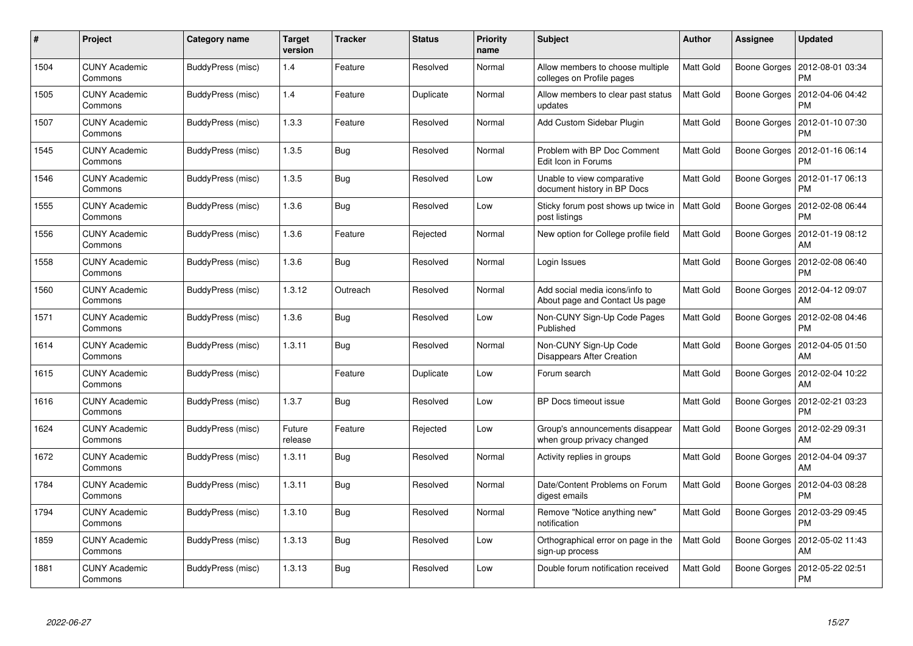| $\#$ | Project                         | <b>Category name</b> | <b>Target</b><br>version | <b>Tracker</b> | <b>Status</b> | <b>Priority</b><br>name | <b>Subject</b>                                                   | <b>Author</b>    | Assignee     | <b>Updated</b>                |
|------|---------------------------------|----------------------|--------------------------|----------------|---------------|-------------------------|------------------------------------------------------------------|------------------|--------------|-------------------------------|
| 1504 | <b>CUNY Academic</b><br>Commons | BuddyPress (misc)    | 1.4                      | Feature        | Resolved      | Normal                  | Allow members to choose multiple<br>colleges on Profile pages    | <b>Matt Gold</b> | Boone Gorges | 2012-08-01 03:34<br>PM        |
| 1505 | <b>CUNY Academic</b><br>Commons | BuddyPress (misc)    | 1.4                      | Feature        | Duplicate     | Normal                  | Allow members to clear past status<br>updates                    | <b>Matt Gold</b> | Boone Gorges | 2012-04-06 04:42<br><b>PM</b> |
| 1507 | <b>CUNY Academic</b><br>Commons | BuddyPress (misc)    | 1.3.3                    | Feature        | Resolved      | Normal                  | Add Custom Sidebar Plugin                                        | <b>Matt Gold</b> | Boone Gorges | 2012-01-10 07:30<br>PM        |
| 1545 | <b>CUNY Academic</b><br>Commons | BuddyPress (misc)    | 1.3.5                    | <b>Bug</b>     | Resolved      | Normal                  | Problem with BP Doc Comment<br>Edit Icon in Forums               | <b>Matt Gold</b> | Boone Gorges | 2012-01-16 06:14<br>PM        |
| 1546 | <b>CUNY Academic</b><br>Commons | BuddyPress (misc)    | 1.3.5                    | <b>Bug</b>     | Resolved      | Low                     | Unable to view comparative<br>document history in BP Docs        | Matt Gold        | Boone Gorges | 2012-01-17 06:13<br><b>PM</b> |
| 1555 | <b>CUNY Academic</b><br>Commons | BuddyPress (misc)    | 1.3.6                    | <b>Bug</b>     | Resolved      | Low                     | Sticky forum post shows up twice in<br>post listings             | Matt Gold        | Boone Gorges | 2012-02-08 06:44<br><b>PM</b> |
| 1556 | <b>CUNY Academic</b><br>Commons | BuddyPress (misc)    | 1.3.6                    | Feature        | Rejected      | Normal                  | New option for College profile field                             | Matt Gold        | Boone Gorges | 2012-01-19 08:12<br>AM        |
| 1558 | <b>CUNY Academic</b><br>Commons | BuddyPress (misc)    | 1.3.6                    | <b>Bug</b>     | Resolved      | Normal                  | Login Issues                                                     | Matt Gold        | Boone Gorges | 2012-02-08 06:40<br><b>PM</b> |
| 1560 | <b>CUNY Academic</b><br>Commons | BuddyPress (misc)    | 1.3.12                   | Outreach       | Resolved      | Normal                  | Add social media icons/info to<br>About page and Contact Us page | <b>Matt Gold</b> | Boone Gorges | 2012-04-12 09:07<br>AM        |
| 1571 | <b>CUNY Academic</b><br>Commons | BuddyPress (misc)    | 1.3.6                    | <b>Bug</b>     | Resolved      | Low                     | Non-CUNY Sign-Up Code Pages<br>Published                         | <b>Matt Gold</b> | Boone Gorges | 2012-02-08 04:46<br>PM        |
| 1614 | <b>CUNY Academic</b><br>Commons | BuddyPress (misc)    | 1.3.11                   | Bug            | Resolved      | Normal                  | Non-CUNY Sign-Up Code<br>Disappears After Creation               | Matt Gold        | Boone Gorges | 2012-04-05 01:50<br>AM        |
| 1615 | <b>CUNY Academic</b><br>Commons | BuddyPress (misc)    |                          | Feature        | Duplicate     | Low                     | Forum search                                                     | Matt Gold        | Boone Gorges | 2012-02-04 10:22<br>AM        |
| 1616 | <b>CUNY Academic</b><br>Commons | BuddyPress (misc)    | 1.3.7                    | <b>Bug</b>     | Resolved      | Low                     | BP Docs timeout issue                                            | Matt Gold        | Boone Gorges | 2012-02-21 03:23<br><b>PM</b> |
| 1624 | <b>CUNY Academic</b><br>Commons | BuddyPress (misc)    | Future<br>release        | Feature        | Rejected      | Low                     | Group's announcements disappear<br>when group privacy changed    | Matt Gold        | Boone Gorges | 2012-02-29 09:31<br>AM        |
| 1672 | <b>CUNY Academic</b><br>Commons | BuddyPress (misc)    | 1.3.11                   | Bug            | Resolved      | Normal                  | Activity replies in groups                                       | Matt Gold        | Boone Gorges | 2012-04-04 09:37<br>AM        |
| 1784 | <b>CUNY Academic</b><br>Commons | BuddyPress (misc)    | 1.3.11                   | <b>Bug</b>     | Resolved      | Normal                  | Date/Content Problems on Forum<br>digest emails                  | Matt Gold        | Boone Gorges | 2012-04-03 08:28<br>PM        |
| 1794 | <b>CUNY Academic</b><br>Commons | BuddyPress (misc)    | 1.3.10                   | <b>Bug</b>     | Resolved      | Normal                  | Remove "Notice anything new"<br>notification                     | Matt Gold        | Boone Gorges | 2012-03-29 09:45<br><b>PM</b> |
| 1859 | <b>CUNY Academic</b><br>Commons | BuddyPress (misc)    | 1.3.13                   | <b>Bug</b>     | Resolved      | Low                     | Orthographical error on page in the<br>sign-up process           | Matt Gold        | Boone Gorges | 2012-05-02 11:43<br>AM        |
| 1881 | CUNY Academic<br>Commons        | BuddyPress (misc)    | 1.3.13                   | Bug            | Resolved      | Low                     | Double forum notification received                               | Matt Gold        | Boone Gorges | 2012-05-22 02:51<br><b>PM</b> |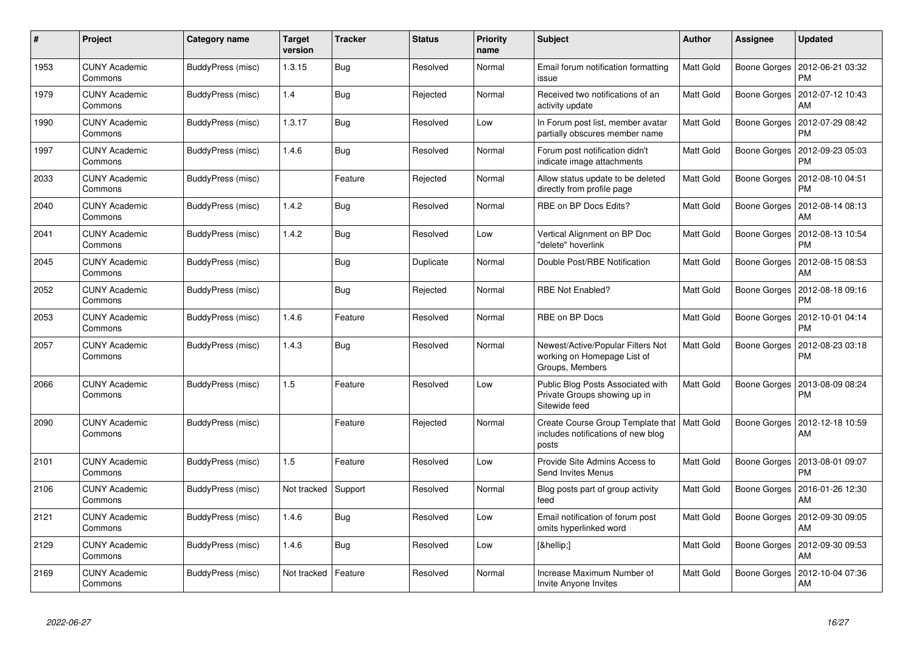| #    | Project                         | <b>Category name</b> | <b>Target</b><br>version | <b>Tracker</b> | <b>Status</b> | <b>Priority</b><br>name | <b>Subject</b>                                                                      | <b>Author</b>    | Assignee     | <b>Updated</b>                |
|------|---------------------------------|----------------------|--------------------------|----------------|---------------|-------------------------|-------------------------------------------------------------------------------------|------------------|--------------|-------------------------------|
| 1953 | <b>CUNY Academic</b><br>Commons | BuddyPress (misc)    | 1.3.15                   | <b>Bug</b>     | Resolved      | Normal                  | Email forum notification formatting<br>issue                                        | <b>Matt Gold</b> | Boone Gorges | 2012-06-21 03:32<br><b>PM</b> |
| 1979 | <b>CUNY Academic</b><br>Commons | BuddyPress (misc)    | 1.4                      | <b>Bug</b>     | Rejected      | Normal                  | Received two notifications of an<br>activity update                                 | <b>Matt Gold</b> | Boone Gorges | 2012-07-12 10:43<br>AM        |
| 1990 | <b>CUNY Academic</b><br>Commons | BuddyPress (misc)    | 1.3.17                   | <b>Bug</b>     | Resolved      | Low                     | In Forum post list, member avatar<br>partially obscures member name                 | Matt Gold        | Boone Gorges | 2012-07-29 08:42<br><b>PM</b> |
| 1997 | <b>CUNY Academic</b><br>Commons | BuddyPress (misc)    | 1.4.6                    | <b>Bug</b>     | Resolved      | Normal                  | Forum post notification didn't<br>indicate image attachments                        | Matt Gold        | Boone Gorges | 2012-09-23 05:03<br>PM        |
| 2033 | <b>CUNY Academic</b><br>Commons | BuddyPress (misc)    |                          | Feature        | Rejected      | Normal                  | Allow status update to be deleted<br>directly from profile page                     | Matt Gold        | Boone Gorges | 2012-08-10 04:51<br>PM        |
| 2040 | <b>CUNY Academic</b><br>Commons | BuddyPress (misc)    | 1.4.2                    | <b>Bug</b>     | Resolved      | Normal                  | RBE on BP Docs Edits?                                                               | Matt Gold        | Boone Gorges | 2012-08-14 08:13<br>AM        |
| 2041 | <b>CUNY Academic</b><br>Commons | BuddyPress (misc)    | 1.4.2                    | <b>Bug</b>     | Resolved      | Low                     | Vertical Alignment on BP Doc<br>"delete" hoverlink                                  | Matt Gold        | Boone Gorges | 2012-08-13 10:54<br><b>PM</b> |
| 2045 | <b>CUNY Academic</b><br>Commons | BuddyPress (misc)    |                          | <b>Bug</b>     | Duplicate     | Normal                  | Double Post/RBE Notification                                                        | Matt Gold        | Boone Gorges | 2012-08-15 08:53<br>AM        |
| 2052 | <b>CUNY Academic</b><br>Commons | BuddyPress (misc)    |                          | <b>Bug</b>     | Rejected      | Normal                  | <b>RBE Not Enabled?</b>                                                             | Matt Gold        | Boone Gorges | 2012-08-18 09:16<br><b>PM</b> |
| 2053 | <b>CUNY Academic</b><br>Commons | BuddyPress (misc)    | 1.4.6                    | Feature        | Resolved      | Normal                  | RBE on BP Docs                                                                      | Matt Gold        | Boone Gorges | 2012-10-01 04:14<br><b>PM</b> |
| 2057 | <b>CUNY Academic</b><br>Commons | BuddyPress (misc)    | 1.4.3                    | Bug            | Resolved      | Normal                  | Newest/Active/Popular Filters Not<br>working on Homepage List of<br>Groups, Members | Matt Gold        | Boone Gorges | 2012-08-23 03:18<br>PM        |
| 2066 | <b>CUNY Academic</b><br>Commons | BuddyPress (misc)    | 1.5                      | Feature        | Resolved      | Low                     | Public Blog Posts Associated with<br>Private Groups showing up in<br>Sitewide feed  | Matt Gold        | Boone Gorges | 2013-08-09 08:24<br><b>PM</b> |
| 2090 | <b>CUNY Academic</b><br>Commons | BuddyPress (misc)    |                          | Feature        | Rejected      | Normal                  | Create Course Group Template that<br>includes notifications of new blog<br>posts    | Matt Gold        | Boone Gorges | 2012-12-18 10:59<br>AM        |
| 2101 | <b>CUNY Academic</b><br>Commons | BuddyPress (misc)    | 1.5                      | Feature        | Resolved      | Low                     | Provide Site Admins Access to<br>Send Invites Menus                                 | Matt Gold        | Boone Gorges | 2013-08-01 09:07<br>PM        |
| 2106 | <b>CUNY Academic</b><br>Commons | BuddyPress (misc)    | Not tracked              | Support        | Resolved      | Normal                  | Blog posts part of group activity<br>feed                                           | Matt Gold        | Boone Gorges | 2016-01-26 12:30<br>AM        |
| 2121 | <b>CUNY Academic</b><br>Commons | BuddyPress (misc)    | 1.4.6                    | <b>Bug</b>     | Resolved      | Low                     | Email notification of forum post<br>omits hyperlinked word                          | Matt Gold        | Boone Gorges | 2012-09-30 09:05<br>AM        |
| 2129 | <b>CUNY Academic</b><br>Commons | BuddyPress (misc)    | 1.4.6                    | <b>Bug</b>     | Resolved      | Low                     | […]                                                                                 | Matt Gold        | Boone Gorges | 2012-09-30 09:53<br>AM        |
| 2169 | <b>CUNY Academic</b><br>Commons | BuddyPress (misc)    | Not tracked              | Feature        | Resolved      | Normal                  | Increase Maximum Number of<br>Invite Anyone Invites                                 | Matt Gold        | Boone Gorges | 2012-10-04 07:36<br>AM        |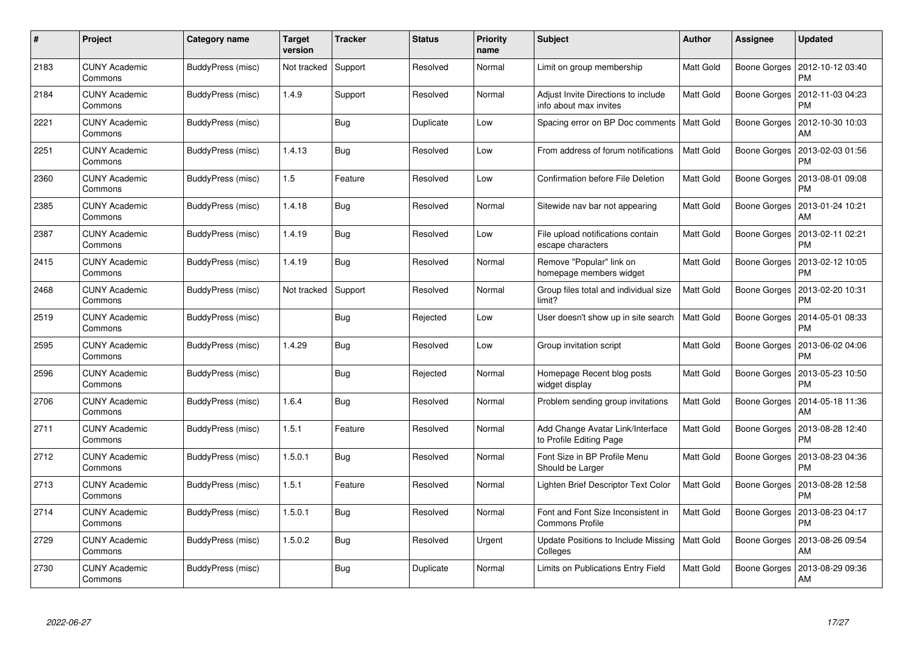| #    | Project                         | Category name            | <b>Target</b><br>version | <b>Tracker</b> | <b>Status</b> | <b>Priority</b><br>name | <b>Subject</b>                                                | <b>Author</b>    | Assignee     | Updated                       |
|------|---------------------------------|--------------------------|--------------------------|----------------|---------------|-------------------------|---------------------------------------------------------------|------------------|--------------|-------------------------------|
| 2183 | <b>CUNY Academic</b><br>Commons | BuddyPress (misc)        | Not tracked              | Support        | Resolved      | Normal                  | Limit on group membership                                     | Matt Gold        | Boone Gorges | 2012-10-12 03:40<br><b>PM</b> |
| 2184 | <b>CUNY Academic</b><br>Commons | BuddyPress (misc)        | 1.4.9                    | Support        | Resolved      | Normal                  | Adjust Invite Directions to include<br>info about max invites | Matt Gold        | Boone Gorges | 2012-11-03 04:23<br><b>PM</b> |
| 2221 | <b>CUNY Academic</b><br>Commons | BuddyPress (misc)        |                          | Bug            | Duplicate     | Low                     | Spacing error on BP Doc comments                              | <b>Matt Gold</b> | Boone Gorges | 2012-10-30 10:03<br>AM        |
| 2251 | <b>CUNY Academic</b><br>Commons | BuddyPress (misc)        | 1.4.13                   | <b>Bug</b>     | Resolved      | Low                     | From address of forum notifications                           | Matt Gold        | Boone Gorges | 2013-02-03 01:56<br>PM        |
| 2360 | <b>CUNY Academic</b><br>Commons | BuddyPress (misc)        | 1.5                      | Feature        | Resolved      | Low                     | Confirmation before File Deletion                             | Matt Gold        | Boone Gorges | 2013-08-01 09:08<br><b>PM</b> |
| 2385 | <b>CUNY Academic</b><br>Commons | BuddyPress (misc)        | 1.4.18                   | Bug            | Resolved      | Normal                  | Sitewide nav bar not appearing                                | Matt Gold        | Boone Gorges | 2013-01-24 10:21<br>AM        |
| 2387 | <b>CUNY Academic</b><br>Commons | <b>BuddyPress (misc)</b> | 1.4.19                   | <b>Bug</b>     | Resolved      | Low                     | File upload notifications contain<br>escape characters        | Matt Gold        | Boone Gorges | 2013-02-11 02:21<br><b>PM</b> |
| 2415 | <b>CUNY Academic</b><br>Commons | BuddyPress (misc)        | 1.4.19                   | <b>Bug</b>     | Resolved      | Normal                  | Remove "Popular" link on<br>homepage members widget           | Matt Gold        | Boone Gorges | 2013-02-12 10:05<br>PM        |
| 2468 | <b>CUNY Academic</b><br>Commons | BuddyPress (misc)        | Not tracked              | Support        | Resolved      | Normal                  | Group files total and individual size<br>limit?               | <b>Matt Gold</b> | Boone Gorges | 2013-02-20 10:31<br><b>PM</b> |
| 2519 | <b>CUNY Academic</b><br>Commons | BuddyPress (misc)        |                          | Bug            | Rejected      | Low                     | User doesn't show up in site search                           | <b>Matt Gold</b> | Boone Gorges | 2014-05-01 08:33<br>PM        |
| 2595 | <b>CUNY Academic</b><br>Commons | BuddyPress (misc)        | 1.4.29                   | <b>Bug</b>     | Resolved      | Low                     | Group invitation script                                       | Matt Gold        | Boone Gorges | 2013-06-02 04:06<br>PM        |
| 2596 | <b>CUNY Academic</b><br>Commons | BuddyPress (misc)        |                          | <b>Bug</b>     | Rejected      | Normal                  | Homepage Recent blog posts<br>widget display                  | Matt Gold        | Boone Gorges | 2013-05-23 10:50<br>PM        |
| 2706 | <b>CUNY Academic</b><br>Commons | BuddyPress (misc)        | 1.6.4                    | Bug            | Resolved      | Normal                  | Problem sending group invitations                             | <b>Matt Gold</b> | Boone Gorges | 2014-05-18 11:36<br>AM        |
| 2711 | <b>CUNY Academic</b><br>Commons | BuddyPress (misc)        | 1.5.1                    | Feature        | Resolved      | Normal                  | Add Change Avatar Link/Interface<br>to Profile Editing Page   | Matt Gold        | Boone Gorges | 2013-08-28 12:40<br>PM        |
| 2712 | <b>CUNY Academic</b><br>Commons | BuddyPress (misc)        | 1.5.0.1                  | <b>Bug</b>     | Resolved      | Normal                  | Font Size in BP Profile Menu<br>Should be Larger              | Matt Gold        | Boone Gorges | 2013-08-23 04:36<br>PM        |
| 2713 | <b>CUNY Academic</b><br>Commons | BuddyPress (misc)        | 1.5.1                    | Feature        | Resolved      | Normal                  | Lighten Brief Descriptor Text Color                           | <b>Matt Gold</b> | Boone Gorges | 2013-08-28 12:58<br>PM        |
| 2714 | <b>CUNY Academic</b><br>Commons | BuddyPress (misc)        | 1.5.0.1                  | Bug            | Resolved      | Normal                  | Font and Font Size Inconsistent in<br>Commons Profile         | Matt Gold        | Boone Gorges | 2013-08-23 04:17<br><b>PM</b> |
| 2729 | <b>CUNY Academic</b><br>Commons | BuddyPress (misc)        | 1.5.0.2                  | Bug            | Resolved      | Urgent                  | Update Positions to Include Missing<br>Colleges               | <b>Matt Gold</b> | Boone Gorges | 2013-08-26 09:54<br>AM        |
| 2730 | <b>CUNY Academic</b><br>Commons | BuddyPress (misc)        |                          | <b>Bug</b>     | Duplicate     | Normal                  | Limits on Publications Entry Field                            | Matt Gold        | Boone Gorges | 2013-08-29 09:36<br>AM        |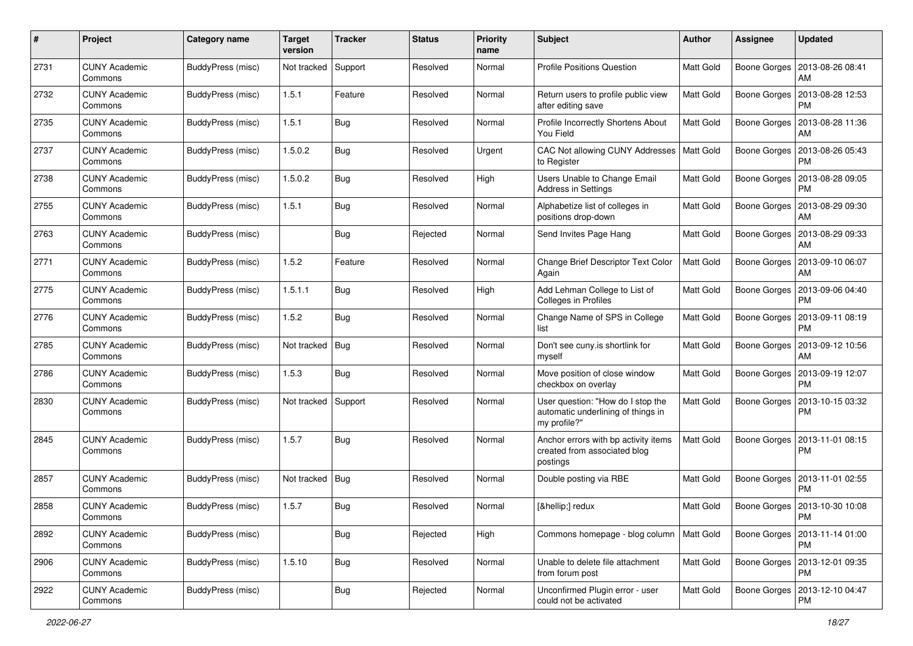| #    | Project                         | <b>Category name</b> | <b>Target</b><br>version | <b>Tracker</b> | <b>Status</b> | <b>Priority</b><br>name | Subject                                                                                 | Author           | Assignee            | <b>Updated</b>                               |
|------|---------------------------------|----------------------|--------------------------|----------------|---------------|-------------------------|-----------------------------------------------------------------------------------------|------------------|---------------------|----------------------------------------------|
| 2731 | <b>CUNY Academic</b><br>Commons | BuddyPress (misc)    | Not tracked              | Support        | Resolved      | Normal                  | <b>Profile Positions Question</b>                                                       | Matt Gold        | <b>Boone Gorges</b> | 2013-08-26 08:41<br>AM                       |
| 2732 | <b>CUNY Academic</b><br>Commons | BuddyPress (misc)    | 1.5.1                    | Feature        | Resolved      | Normal                  | Return users to profile public view<br>after editing save                               | Matt Gold        | Boone Gorges        | 2013-08-28 12:53<br><b>PM</b>                |
| 2735 | <b>CUNY Academic</b><br>Commons | BuddyPress (misc)    | 1.5.1                    | <b>Bug</b>     | Resolved      | Normal                  | Profile Incorrectly Shortens About<br>You Field                                         | Matt Gold        | Boone Gorges        | 2013-08-28 11:36<br>AM                       |
| 2737 | <b>CUNY Academic</b><br>Commons | BuddyPress (misc)    | 1.5.0.2                  | <b>Bug</b>     | Resolved      | Urgent                  | CAC Not allowing CUNY Addresses<br>to Register                                          | Matt Gold        | <b>Boone Gorges</b> | 2013-08-26 05:43<br><b>PM</b>                |
| 2738 | <b>CUNY Academic</b><br>Commons | BuddyPress (misc)    | 1.5.0.2                  | <b>Bug</b>     | Resolved      | High                    | Users Unable to Change Email<br>Address in Settings                                     | <b>Matt Gold</b> | Boone Gorges        | 2013-08-28 09:05<br><b>PM</b>                |
| 2755 | <b>CUNY Academic</b><br>Commons | BuddyPress (misc)    | 1.5.1                    | <b>Bug</b>     | Resolved      | Normal                  | Alphabetize list of colleges in<br>positions drop-down                                  | Matt Gold        | <b>Boone Gorges</b> | 2013-08-29 09:30<br>AM                       |
| 2763 | <b>CUNY Academic</b><br>Commons | BuddyPress (misc)    |                          | <b>Bug</b>     | Rejected      | Normal                  | Send Invites Page Hang                                                                  | Matt Gold        | <b>Boone Gorges</b> | 2013-08-29 09:33<br>AM                       |
| 2771 | <b>CUNY Academic</b><br>Commons | BuddyPress (misc)    | 1.5.2                    | Feature        | Resolved      | Normal                  | Change Brief Descriptor Text Color<br>Again                                             | <b>Matt Gold</b> | <b>Boone Gorges</b> | 2013-09-10 06:07<br>AM                       |
| 2775 | <b>CUNY Academic</b><br>Commons | BuddyPress (misc)    | 1.5.1.1                  | Bug            | Resolved      | High                    | Add Lehman College to List of<br>Colleges in Profiles                                   | Matt Gold        | Boone Gorges        | 2013-09-06 04:40<br><b>PM</b>                |
| 2776 | <b>CUNY Academic</b><br>Commons | BuddyPress (misc)    | 1.5.2                    | <b>Bug</b>     | Resolved      | Normal                  | Change Name of SPS in College<br>list                                                   | Matt Gold        | Boone Gorges        | 2013-09-11 08:19<br><b>PM</b>                |
| 2785 | <b>CUNY Academic</b><br>Commons | BuddyPress (misc)    | Not tracked              | <b>Bug</b>     | Resolved      | Normal                  | Don't see cuny.is shortlink for<br>myself                                               | Matt Gold        | Boone Gorges        | 2013-09-12 10:56<br>AM                       |
| 2786 | <b>CUNY Academic</b><br>Commons | BuddyPress (misc)    | 1.5.3                    | <b>Bug</b>     | Resolved      | Normal                  | Move position of close window<br>checkbox on overlay                                    | <b>Matt Gold</b> | Boone Gorges        | 2013-09-19 12:07<br><b>PM</b>                |
| 2830 | <b>CUNY Academic</b><br>Commons | BuddyPress (misc)    | Not tracked Support      |                | Resolved      | Normal                  | User question: "How do I stop the<br>automatic underlining of things in<br>my profile?" | Matt Gold        | <b>Boone Gorges</b> | 2013-10-15 03:32<br><b>PM</b>                |
| 2845 | <b>CUNY Academic</b><br>Commons | BuddyPress (misc)    | 1.5.7                    | <b>Bug</b>     | Resolved      | Normal                  | Anchor errors with bp activity items<br>created from associated blog<br>postings        | <b>Matt Gold</b> | Boone Gorges        | 2013-11-01 08:15<br><b>PM</b>                |
| 2857 | <b>CUNY Academic</b><br>Commons | BuddyPress (misc)    | Not tracked Bug          |                | Resolved      | Normal                  | Double posting via RBE                                                                  | <b>Matt Gold</b> | Boone Gorges        | 2013-11-01 02:55<br><b>PM</b>                |
| 2858 | <b>CUNY Academic</b><br>Commons | BuddyPress (misc)    | 1.5.7                    | <b>Bug</b>     | Resolved      | Normal                  | […] redux                                                                               | Matt Gold        |                     | Boone Gorges   2013-10-30 10:08<br>PM        |
| 2892 | <b>CUNY Academic</b><br>Commons | BuddyPress (misc)    |                          | <b>Bug</b>     | Rejected      | High                    | Commons homepage - blog column                                                          | Matt Gold        |                     | Boone Gorges   2013-11-14 01:00<br><b>PM</b> |
| 2906 | <b>CUNY Academic</b><br>Commons | BuddyPress (misc)    | 1.5.10                   | <b>Bug</b>     | Resolved      | Normal                  | Unable to delete file attachment<br>from forum post                                     | Matt Gold        |                     | Boone Gorges   2013-12-01 09:35<br><b>PM</b> |
| 2922 | <b>CUNY Academic</b><br>Commons | BuddyPress (misc)    |                          | Bug            | Rejected      | Normal                  | Unconfirmed Plugin error - user<br>could not be activated                               | Matt Gold        | Boone Gorges        | 2013-12-10 04:47<br>PM                       |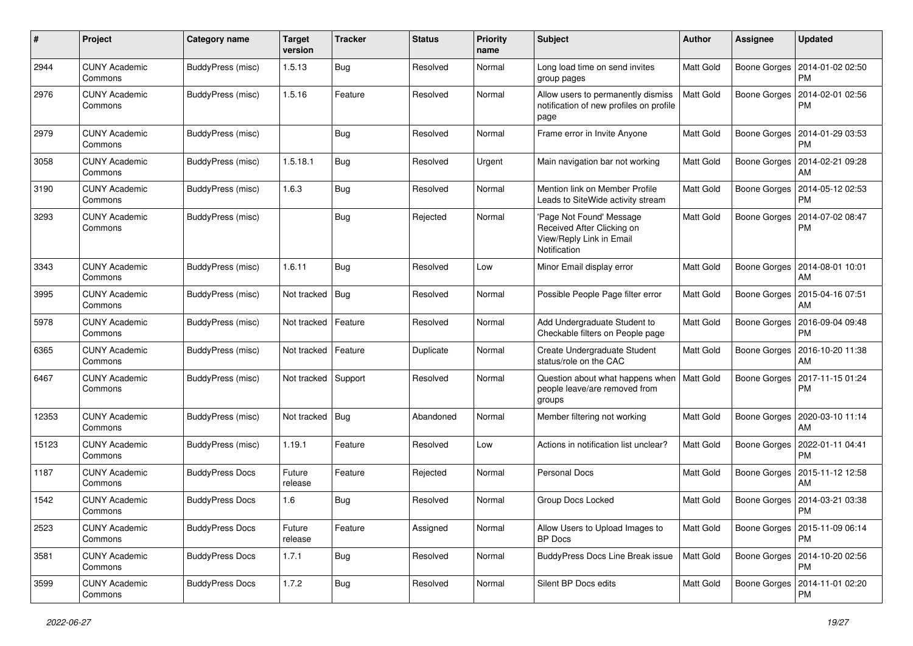| #     | Project                         | <b>Category name</b>   | <b>Target</b><br>version | <b>Tracker</b> | <b>Status</b> | <b>Priority</b><br>name | Subject                                                                                            | Author           | Assignee     | <b>Updated</b>                         |
|-------|---------------------------------|------------------------|--------------------------|----------------|---------------|-------------------------|----------------------------------------------------------------------------------------------------|------------------|--------------|----------------------------------------|
| 2944  | <b>CUNY Academic</b><br>Commons | BuddyPress (misc)      | 1.5.13                   | <b>Bug</b>     | Resolved      | Normal                  | Long load time on send invites<br>group pages                                                      | Matt Gold        | Boone Gorges | 2014-01-02 02:50<br><b>PM</b>          |
| 2976  | <b>CUNY Academic</b><br>Commons | BuddyPress (misc)      | 1.5.16                   | Feature        | Resolved      | Normal                  | Allow users to permanently dismiss<br>notification of new profiles on profile<br>page              | Matt Gold        | Boone Gorges | 2014-02-01 02:56<br><b>PM</b>          |
| 2979  | <b>CUNY Academic</b><br>Commons | BuddyPress (misc)      |                          | Bug            | Resolved      | Normal                  | Frame error in Invite Anyone                                                                       | <b>Matt Gold</b> | Boone Gorges | 2014-01-29 03:53<br><b>PM</b>          |
| 3058  | <b>CUNY Academic</b><br>Commons | BuddyPress (misc)      | 1.5.18.1                 | Bug            | Resolved      | Urgent                  | Main navigation bar not working                                                                    | Matt Gold        | Boone Gorges | 2014-02-21 09:28<br>AM                 |
| 3190  | <b>CUNY Academic</b><br>Commons | BuddyPress (misc)      | 1.6.3                    | Bug            | Resolved      | Normal                  | Mention link on Member Profile<br>Leads to SiteWide activity stream                                | <b>Matt Gold</b> | Boone Gorges | 2014-05-12 02:53<br><b>PM</b>          |
| 3293  | <b>CUNY Academic</b><br>Commons | BuddyPress (misc)      |                          | Bug            | Rejected      | Normal                  | 'Page Not Found' Message<br>Received After Clicking on<br>View/Reply Link in Email<br>Notification | <b>Matt Gold</b> | Boone Gorges | 2014-07-02 08:47<br><b>PM</b>          |
| 3343  | <b>CUNY Academic</b><br>Commons | BuddyPress (misc)      | 1.6.11                   | Bug            | Resolved      | Low                     | Minor Email display error                                                                          | <b>Matt Gold</b> | Boone Gorges | 2014-08-01 10:01<br>AM                 |
| 3995  | <b>CUNY Academic</b><br>Commons | BuddyPress (misc)      | Not tracked              | <b>Bug</b>     | Resolved      | Normal                  | Possible People Page filter error                                                                  | <b>Matt Gold</b> | Boone Gorges | 2015-04-16 07:51<br>AM                 |
| 5978  | <b>CUNY Academic</b><br>Commons | BuddyPress (misc)      | Not tracked              | Feature        | Resolved      | Normal                  | Add Undergraduate Student to<br>Checkable filters on People page                                   | Matt Gold        | Boone Gorges | 2016-09-04 09:48<br><b>PM</b>          |
| 6365  | <b>CUNY Academic</b><br>Commons | BuddyPress (misc)      | Not tracked              | Feature        | Duplicate     | Normal                  | Create Undergraduate Student<br>status/role on the CAC                                             | Matt Gold        | Boone Gorges | 2016-10-20 11:38<br>AM                 |
| 6467  | <b>CUNY Academic</b><br>Commons | BuddyPress (misc)      | Not tracked              | Support        | Resolved      | Normal                  | Question about what happens when<br>people leave/are removed from<br>groups                        | Matt Gold        | Boone Gorges | 2017-11-15 01:24<br><b>PM</b>          |
| 12353 | <b>CUNY Academic</b><br>Commons | BuddyPress (misc)      | Not tracked              | <b>Bug</b>     | Abandoned     | Normal                  | Member filtering not working                                                                       | <b>Matt Gold</b> | Boone Gorges | 2020-03-10 11:14<br>AM                 |
| 15123 | <b>CUNY Academic</b><br>Commons | BuddyPress (misc)      | 1.19.1                   | Feature        | Resolved      | Low                     | Actions in notification list unclear?                                                              | <b>Matt Gold</b> | Boone Gorges | 2022-01-11 04:41<br><b>PM</b>          |
| 1187  | <b>CUNY Academic</b><br>Commons | <b>BuddyPress Docs</b> | Future<br>release        | Feature        | Rejected      | Normal                  | <b>Personal Docs</b>                                                                               | Matt Gold        | Boone Gorges | 2015-11-12 12:58<br>AM                 |
| 1542  | <b>CUNY Academic</b><br>Commons | <b>BuddyPress Docs</b> | 1.6                      | Bug            | Resolved      | Normal                  | Group Docs Locked                                                                                  | Matt Gold        | Boone Gorges | 2014-03-21 03:38<br><b>PM</b>          |
| 2523  | <b>CUNY Academic</b><br>Commons | <b>BuddyPress Docs</b> | Future<br>release        | Feature        | Assigned      | Normal                  | Allow Users to Upload Images to<br><b>BP</b> Docs                                                  | Matt Gold        |              | Boone Gorges   2015-11-09 06:14<br>PM. |
| 3581  | <b>CUNY Academic</b><br>Commons | <b>BuddyPress Docs</b> | 1.7.1                    | <b>Bug</b>     | Resolved      | Normal                  | <b>BuddyPress Docs Line Break issue</b>                                                            | Matt Gold        |              | Boone Gorges   2014-10-20 02:56<br>PM  |
| 3599  | <b>CUNY Academic</b><br>Commons | <b>BuddyPress Docs</b> | 1.7.2                    | <b>Bug</b>     | Resolved      | Normal                  | Silent BP Docs edits                                                                               | Matt Gold        | Boone Gorges | 2014-11-01 02:20<br>PM                 |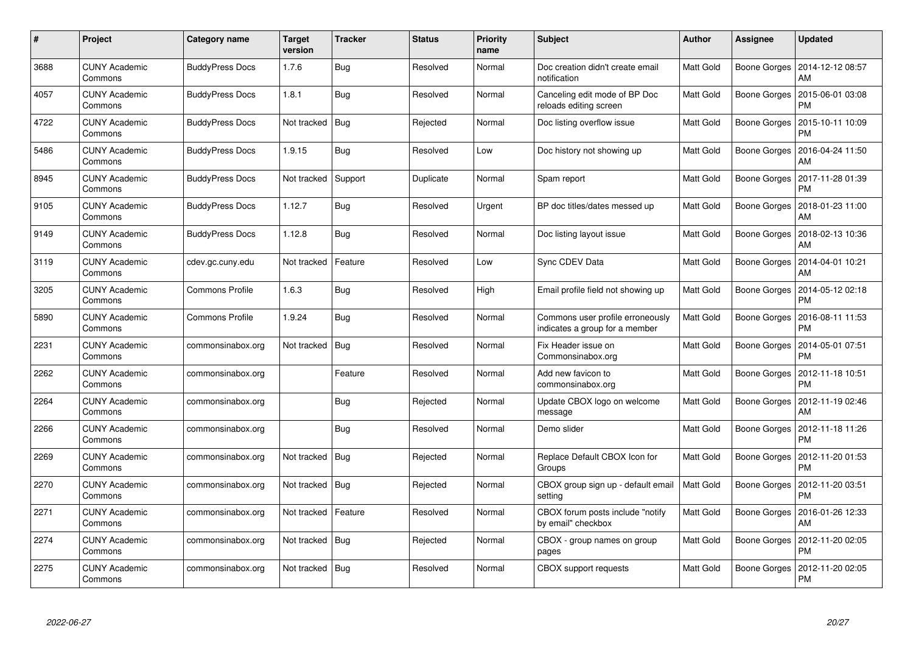| #    | Project                         | Category name          | Target<br>version | <b>Tracker</b> | <b>Status</b> | <b>Priority</b><br>name | <b>Subject</b>                                                     | <b>Author</b>    | Assignee     | <b>Updated</b>                        |
|------|---------------------------------|------------------------|-------------------|----------------|---------------|-------------------------|--------------------------------------------------------------------|------------------|--------------|---------------------------------------|
| 3688 | <b>CUNY Academic</b><br>Commons | <b>BuddyPress Docs</b> | 1.7.6             | <b>Bug</b>     | Resolved      | Normal                  | Doc creation didn't create email<br>notification                   | Matt Gold        | Boone Gorges | 2014-12-12 08:57<br>AM                |
| 4057 | <b>CUNY Academic</b><br>Commons | <b>BuddyPress Docs</b> | 1.8.1             | <b>Bug</b>     | Resolved      | Normal                  | Canceling edit mode of BP Doc<br>reloads editing screen            | Matt Gold        | Boone Gorges | 2015-06-01 03:08<br>PM                |
| 4722 | <b>CUNY Academic</b><br>Commons | <b>BuddyPress Docs</b> | Not tracked       | Bug            | Rejected      | Normal                  | Doc listing overflow issue                                         | <b>Matt Gold</b> | Boone Gorges | 2015-10-11 10:09<br>PM                |
| 5486 | <b>CUNY Academic</b><br>Commons | <b>BuddyPress Docs</b> | 1.9.15            | Bug            | Resolved      | Low                     | Doc history not showing up                                         | Matt Gold        | Boone Gorges | 2016-04-24 11:50<br>AM                |
| 8945 | <b>CUNY Academic</b><br>Commons | <b>BuddyPress Docs</b> | Not tracked       | Support        | Duplicate     | Normal                  | Spam report                                                        | Matt Gold        | Boone Gorges | 2017-11-28 01:39<br><b>PM</b>         |
| 9105 | <b>CUNY Academic</b><br>Commons | <b>BuddyPress Docs</b> | 1.12.7            | <b>Bug</b>     | Resolved      | Urgent                  | BP doc titles/dates messed up                                      | Matt Gold        | Boone Gorges | 2018-01-23 11:00<br>AM                |
| 9149 | <b>CUNY Academic</b><br>Commons | <b>BuddyPress Docs</b> | 1.12.8            | <b>Bug</b>     | Resolved      | Normal                  | Doc listing layout issue                                           | Matt Gold        | Boone Gorges | 2018-02-13 10:36<br>AM                |
| 3119 | <b>CUNY Academic</b><br>Commons | cdev.gc.cuny.edu       | Not tracked       | Feature        | Resolved      | Low                     | Sync CDEV Data                                                     | Matt Gold        |              | Boone Gorges   2014-04-01 10:21<br>AM |
| 3205 | <b>CUNY Academic</b><br>Commons | Commons Profile        | 1.6.3             | <b>Bug</b>     | Resolved      | High                    | Email profile field not showing up                                 | <b>Matt Gold</b> | Boone Gorges | 2014-05-12 02:18<br><b>PM</b>         |
| 5890 | <b>CUNY Academic</b><br>Commons | <b>Commons Profile</b> | 1.9.24            | Bug            | Resolved      | Normal                  | Commons user profile erroneously<br>indicates a group for a member | Matt Gold        | Boone Gorges | 2016-08-11 11:53<br><b>PM</b>         |
| 2231 | <b>CUNY Academic</b><br>Commons | commonsinabox.org      | Not tracked       | <b>Bug</b>     | Resolved      | Normal                  | Fix Header issue on<br>Commonsinabox.org                           | <b>Matt Gold</b> | Boone Gorges | 2014-05-01 07:51<br><b>PM</b>         |
| 2262 | <b>CUNY Academic</b><br>Commons | commonsinabox.org      |                   | Feature        | Resolved      | Normal                  | Add new favicon to<br>commonsinabox.org                            | Matt Gold        | Boone Gorges | 2012-11-18 10:51<br><b>PM</b>         |
| 2264 | <b>CUNY Academic</b><br>Commons | commonsinabox.org      |                   | Bug            | Rejected      | Normal                  | Update CBOX logo on welcome<br>message                             | Matt Gold        | Boone Gorges | 2012-11-19 02:46<br>AM                |
| 2266 | <b>CUNY Academic</b><br>Commons | commonsinabox.org      |                   | Bug            | Resolved      | Normal                  | Demo slider                                                        | Matt Gold        | Boone Gorges | 2012-11-18 11:26<br><b>PM</b>         |
| 2269 | <b>CUNY Academic</b><br>Commons | commonsinabox.org      | Not tracked       | <b>Bug</b>     | Rejected      | Normal                  | Replace Default CBOX Icon for<br>Groups                            | Matt Gold        | Boone Gorges | 2012-11-20 01:53<br><b>PM</b>         |
| 2270 | <b>CUNY Academic</b><br>Commons | commonsinabox.org      | Not tracked   Bug |                | Rejected      | Normal                  | CBOX group sign up - default email<br>settina                      | Matt Gold        | Boone Gorges | 2012-11-20 03:51<br><b>PM</b>         |
| 2271 | <b>CUNY Academic</b><br>Commons | commonsinabox.org      | Not tracked       | Feature        | Resolved      | Normal                  | CBOX forum posts include "notify<br>by email" checkbox             | Matt Gold        | Boone Gorges | 2016-01-26 12:33<br>AM                |
| 2274 | <b>CUNY Academic</b><br>Commons | commonsinabox.org      | Not tracked       | Bug            | Rejected      | Normal                  | CBOX - group names on group<br>pages                               | Matt Gold        | Boone Gorges | 2012-11-20 02:05<br><b>PM</b>         |
| 2275 | CUNY Academic<br>Commons        | commonsinabox.org      | Not tracked   Bug |                | Resolved      | Normal                  | CBOX support requests                                              | Matt Gold        | Boone Gorges | 2012-11-20 02:05<br><b>PM</b>         |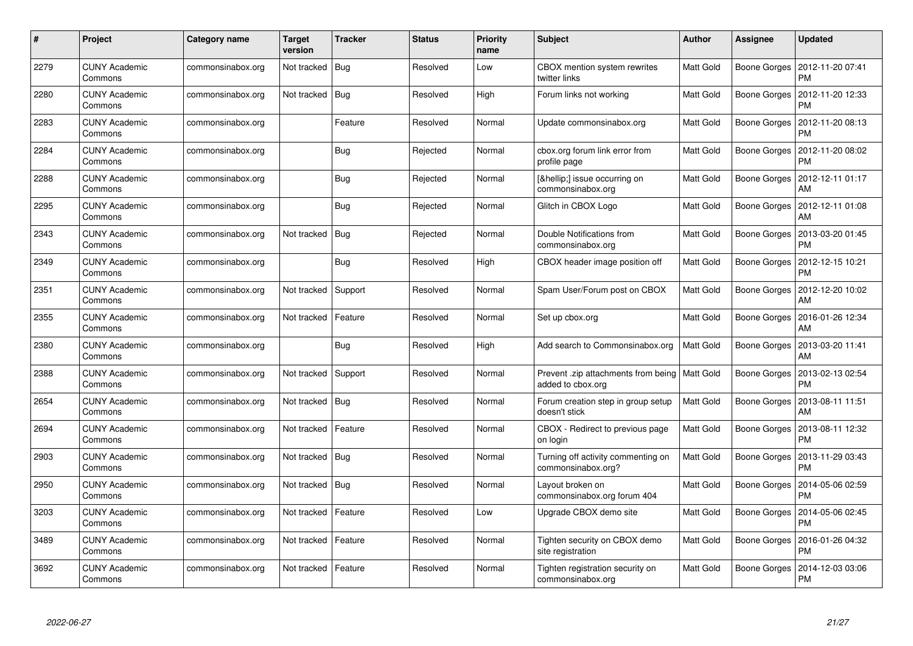| #    | Project                         | Category name     | Target<br>version | <b>Tracker</b> | <b>Status</b> | <b>Priority</b><br>name | <b>Subject</b>                                                       | <b>Author</b> | Assignee     | <b>Updated</b>                |
|------|---------------------------------|-------------------|-------------------|----------------|---------------|-------------------------|----------------------------------------------------------------------|---------------|--------------|-------------------------------|
| 2279 | <b>CUNY Academic</b><br>Commons | commonsinabox.org | Not tracked       | <b>Bug</b>     | Resolved      | Low                     | CBOX mention system rewrites<br>twitter links                        | Matt Gold     | Boone Gorges | 2012-11-20 07:41<br><b>PM</b> |
| 2280 | <b>CUNY Academic</b><br>Commons | commonsinabox.org | Not tracked       | Bug            | Resolved      | High                    | Forum links not working                                              | Matt Gold     | Boone Gorges | 2012-11-20 12:33<br><b>PM</b> |
| 2283 | <b>CUNY Academic</b><br>Commons | commonsinabox.org |                   | Feature        | Resolved      | Normal                  | Update commonsinabox.org                                             | Matt Gold     | Boone Gorges | 2012-11-20 08:13<br>PM        |
| 2284 | <b>CUNY Academic</b><br>Commons | commonsinabox.org |                   | Bug            | Rejected      | Normal                  | cbox.org forum link error from<br>profile page                       | Matt Gold     | Boone Gorges | 2012-11-20 08:02<br>PM        |
| 2288 | <b>CUNY Academic</b><br>Commons | commonsinabox.org |                   | <b>Bug</b>     | Rejected      | Normal                  | […] issue occurring on<br>commonsinabox.org                          | Matt Gold     | Boone Gorges | 2012-12-11 01:17<br>AM        |
| 2295 | <b>CUNY Academic</b><br>Commons | commonsinabox.org |                   | <b>Bug</b>     | Rejected      | Normal                  | Glitch in CBOX Logo                                                  | Matt Gold     | Boone Gorges | 2012-12-11 01:08<br>AM        |
| 2343 | <b>CUNY Academic</b><br>Commons | commonsinabox.org | Not tracked       | Bug            | Rejected      | Normal                  | Double Notifications from<br>commonsinabox.org                       | Matt Gold     | Boone Gorges | 2013-03-20 01:45<br><b>PM</b> |
| 2349 | <b>CUNY Academic</b><br>Commons | commonsinabox.org |                   | Bug            | Resolved      | High                    | CBOX header image position off                                       | Matt Gold     | Boone Gorges | 2012-12-15 10:21<br><b>PM</b> |
| 2351 | <b>CUNY Academic</b><br>Commons | commonsinabox.org | Not tracked       | Support        | Resolved      | Normal                  | Spam User/Forum post on CBOX                                         | Matt Gold     | Boone Gorges | 2012-12-20 10:02<br>AM        |
| 2355 | <b>CUNY Academic</b><br>Commons | commonsinabox.org | Not tracked       | Feature        | Resolved      | Normal                  | Set up cbox.org                                                      | Matt Gold     | Boone Gorges | 2016-01-26 12:34<br>AM        |
| 2380 | <b>CUNY Academic</b><br>Commons | commonsinabox.org |                   | Bug            | Resolved      | High                    | Add search to Commonsinabox.org                                      | Matt Gold     | Boone Gorges | 2013-03-20 11:41<br>AM        |
| 2388 | <b>CUNY Academic</b><br>Commons | commonsinabox.org | Not tracked       | Support        | Resolved      | Normal                  | Prevent .zip attachments from being   Matt Gold<br>added to cbox.org |               | Boone Gorges | 2013-02-13 02:54<br><b>PM</b> |
| 2654 | <b>CUNY Academic</b><br>Commons | commonsinabox.org | Not tracked   Bug |                | Resolved      | Normal                  | Forum creation step in group setup<br>doesn't stick                  | Matt Gold     | Boone Gorges | 2013-08-11 11:51<br>AM        |
| 2694 | <b>CUNY Academic</b><br>Commons | commonsinabox.org | Not tracked       | Feature        | Resolved      | Normal                  | CBOX - Redirect to previous page<br>on login                         | Matt Gold     | Boone Gorges | 2013-08-11 12:32<br><b>PM</b> |
| 2903 | <b>CUNY Academic</b><br>Commons | commonsinabox.org | Not tracked       | Bug            | Resolved      | Normal                  | Turning off activity commenting on<br>commonsinabox.org?             | Matt Gold     | Boone Gorges | 2013-11-29 03:43<br>PM        |
| 2950 | <b>CUNY Academic</b><br>Commons | commonsinabox.org | Not tracked   Bug |                | Resolved      | Normal                  | Layout broken on<br>commonsinabox.org forum 404                      | Matt Gold     | Boone Gorges | 2014-05-06 02:59<br><b>PM</b> |
| 3203 | <b>CUNY Academic</b><br>Commons | commonsinabox.org | Not tracked       | Feature        | Resolved      | Low                     | Upgrade CBOX demo site                                               | Matt Gold     | Boone Gorges | 2014-05-06 02:45<br><b>PM</b> |
| 3489 | <b>CUNY Academic</b><br>Commons | commonsinabox.org | Not tracked       | Feature        | Resolved      | Normal                  | Tighten security on CBOX demo<br>site registration                   | Matt Gold     | Boone Gorges | 2016-01-26 04:32<br><b>PM</b> |
| 3692 | CUNY Academic<br>Commons        | commonsinabox.org | Not tracked       | Feature        | Resolved      | Normal                  | Tighten registration security on<br>commonsinabox.org                | Matt Gold     | Boone Gorges | 2014-12-03 03:06<br><b>PM</b> |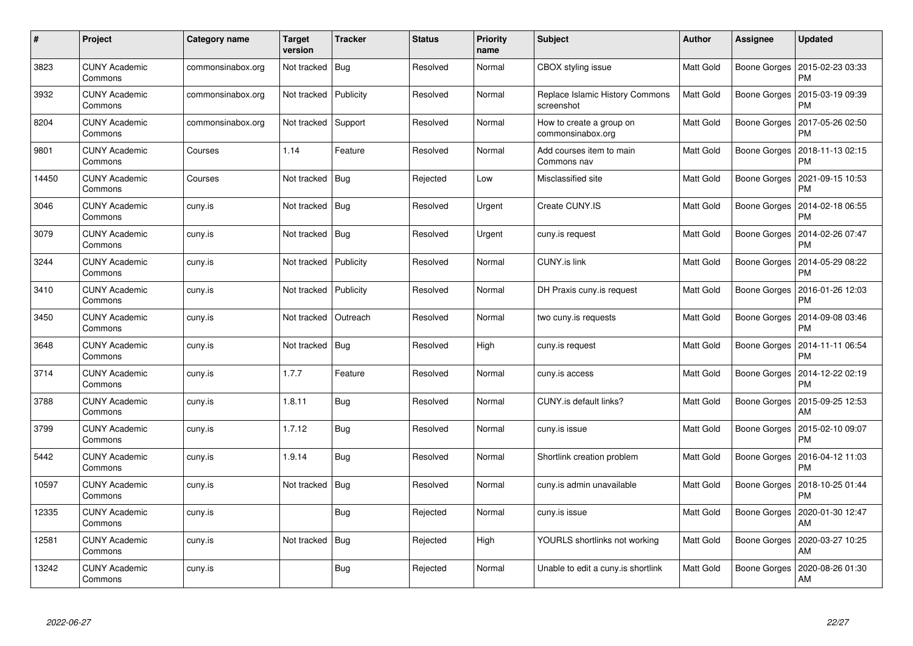| $\#$  | Project                         | Category name     | <b>Target</b><br>version | <b>Tracker</b> | <b>Status</b> | <b>Priority</b><br>name | <b>Subject</b>                                | <b>Author</b> | <b>Assignee</b> | <b>Updated</b>                |
|-------|---------------------------------|-------------------|--------------------------|----------------|---------------|-------------------------|-----------------------------------------------|---------------|-----------------|-------------------------------|
| 3823  | <b>CUNY Academic</b><br>Commons | commonsinabox.org | Not tracked              | <b>Bug</b>     | Resolved      | Normal                  | CBOX styling issue                            | Matt Gold     | Boone Gorges    | 2015-02-23 03:33<br><b>PM</b> |
| 3932  | <b>CUNY Academic</b><br>Commons | commonsinabox.org | Not tracked              | Publicity      | Resolved      | Normal                  | Replace Islamic History Commons<br>screenshot | Matt Gold     | Boone Gorges    | 2015-03-19 09:39<br><b>PM</b> |
| 8204  | <b>CUNY Academic</b><br>Commons | commonsinabox.org | Not tracked              | Support        | Resolved      | Normal                  | How to create a group on<br>commonsinabox.org | Matt Gold     | Boone Gorges    | 2017-05-26 02:50<br><b>PM</b> |
| 9801  | <b>CUNY Academic</b><br>Commons | Courses           | 1.14                     | Feature        | Resolved      | Normal                  | Add courses item to main<br>Commons nav       | Matt Gold     | Boone Gorges    | 2018-11-13 02:15<br><b>PM</b> |
| 14450 | <b>CUNY Academic</b><br>Commons | Courses           | Not tracked              | <b>Bug</b>     | Rejected      | Low                     | Misclassified site                            | Matt Gold     | Boone Gorges    | 2021-09-15 10:53<br><b>PM</b> |
| 3046  | <b>CUNY Academic</b><br>Commons | cuny.is           | Not tracked              | <b>Bug</b>     | Resolved      | Urgent                  | Create CUNY.IS                                | Matt Gold     | Boone Gorges    | 2014-02-18 06:55<br><b>PM</b> |
| 3079  | <b>CUNY Academic</b><br>Commons | cuny.is           | Not tracked              | <b>Bug</b>     | Resolved      | Urgent                  | cuny.is request                               | Matt Gold     | Boone Gorges    | 2014-02-26 07:47<br><b>PM</b> |
| 3244  | <b>CUNY Academic</b><br>Commons | cuny.is           | Not tracked              | Publicity      | Resolved      | Normal                  | <b>CUNY.is link</b>                           | Matt Gold     | Boone Gorges    | 2014-05-29 08:22<br><b>PM</b> |
| 3410  | <b>CUNY Academic</b><br>Commons | cuny.is           | Not tracked              | Publicity      | Resolved      | Normal                  | DH Praxis cuny.is request                     | Matt Gold     | Boone Gorges    | 2016-01-26 12:03<br><b>PM</b> |
| 3450  | <b>CUNY Academic</b><br>Commons | cuny.is           | Not tracked              | Outreach       | Resolved      | Normal                  | two cuny.is requests                          | Matt Gold     | Boone Gorges    | 2014-09-08 03:46<br><b>PM</b> |
| 3648  | <b>CUNY Academic</b><br>Commons | cuny.is           | Not tracked              | <b>Bug</b>     | Resolved      | High                    | cuny is request                               | Matt Gold     | Boone Gorges    | 2014-11-11 06:54<br><b>PM</b> |
| 3714  | <b>CUNY Academic</b><br>Commons | cuny.is           | 1.7.7                    | Feature        | Resolved      | Normal                  | cuny.is access                                | Matt Gold     | Boone Gorges    | 2014-12-22 02:19<br><b>PM</b> |
| 3788  | <b>CUNY Academic</b><br>Commons | cuny.is           | 1.8.11                   | Bug            | Resolved      | Normal                  | CUNY.is default links?                        | Matt Gold     | Boone Gorges    | 2015-09-25 12:53<br><b>AM</b> |
| 3799  | <b>CUNY Academic</b><br>Commons | cuny.is           | 1.7.12                   | <b>Bug</b>     | Resolved      | Normal                  | cuny.is issue                                 | Matt Gold     | Boone Gorges    | 2015-02-10 09:07<br><b>PM</b> |
| 5442  | <b>CUNY Academic</b><br>Commons | cuny.is           | 1.9.14                   | <b>Bug</b>     | Resolved      | Normal                  | Shortlink creation problem                    | Matt Gold     | Boone Gorges    | 2016-04-12 11:03<br><b>PM</b> |
| 10597 | <b>CUNY Academic</b><br>Commons | cuny.is           | Not tracked              | Bug            | Resolved      | Normal                  | cuny is admin unavailable                     | Matt Gold     | Boone Gorges    | 2018-10-25 01:44<br><b>PM</b> |
| 12335 | <b>CUNY Academic</b><br>Commons | cuny.is           |                          | <b>Bug</b>     | Rejected      | Normal                  | cuny.is issue                                 | Matt Gold     | Boone Gorges    | 2020-01-30 12:47<br><b>AM</b> |
| 12581 | <b>CUNY Academic</b><br>Commons | cuny.is           | Not tracked              | Bug            | Rejected      | High                    | YOURLS shortlinks not working                 | Matt Gold     | Boone Gorges    | 2020-03-27 10:25<br>AM        |
| 13242 | CUNY Academic<br>Commons        | cuny.is           |                          | Bug            | Rejected      | Normal                  | Unable to edit a cuny.is shortlink            | Matt Gold     | Boone Gorges    | 2020-08-26 01:30<br>AM        |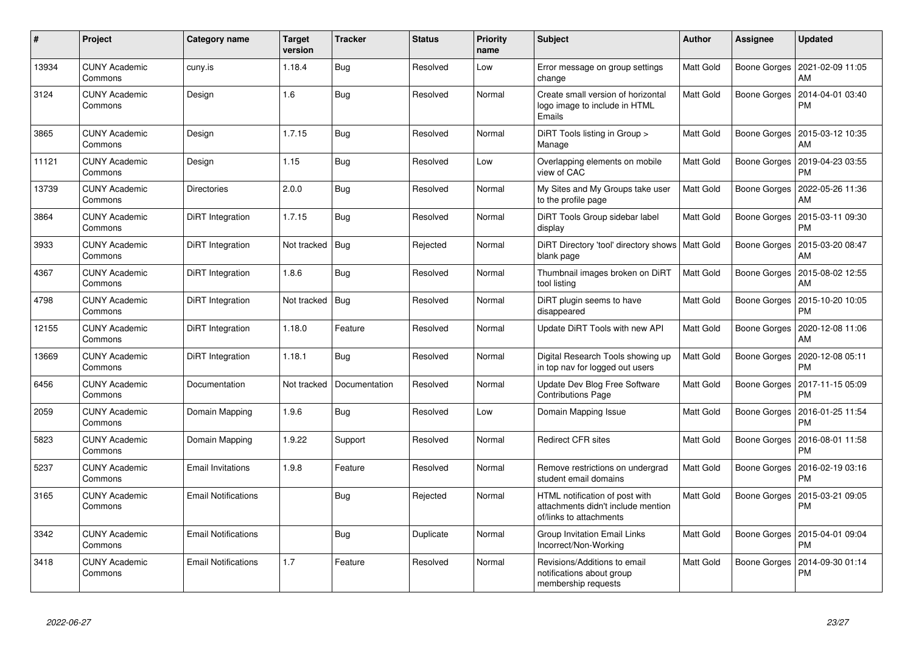| #     | Project                         | Category name              | <b>Target</b><br>version | <b>Tracker</b> | <b>Status</b> | <b>Priority</b><br>name | <b>Subject</b>                                                                                  | <b>Author</b> | <b>Assignee</b> | <b>Updated</b>                        |
|-------|---------------------------------|----------------------------|--------------------------|----------------|---------------|-------------------------|-------------------------------------------------------------------------------------------------|---------------|-----------------|---------------------------------------|
| 13934 | <b>CUNY Academic</b><br>Commons | cuny.is                    | 1.18.4                   | <b>Bug</b>     | Resolved      | Low                     | Error message on group settings<br>change                                                       | Matt Gold     | Boone Gorges    | 2021-02-09 11:05<br>AM                |
| 3124  | CUNY Academic<br>Commons        | Design                     | 1.6                      | <b>Bug</b>     | Resolved      | Normal                  | Create small version of horizontal<br>logo image to include in HTML<br>Emails                   | Matt Gold     | Boone Gorges    | 2014-04-01 03:40<br><b>PM</b>         |
| 3865  | <b>CUNY Academic</b><br>Commons | Design                     | 1.7.15                   | <b>Bug</b>     | Resolved      | Normal                  | DiRT Tools listing in Group ><br>Manage                                                         | Matt Gold     |                 | Boone Gorges   2015-03-12 10:35<br>AM |
| 11121 | <b>CUNY Academic</b><br>Commons | Design                     | 1.15                     | <b>Bug</b>     | Resolved      | Low                     | Overlapping elements on mobile<br>view of CAC                                                   | Matt Gold     | Boone Gorges    | 2019-04-23 03:55<br><b>PM</b>         |
| 13739 | <b>CUNY Academic</b><br>Commons | <b>Directories</b>         | 2.0.0                    | <b>Bug</b>     | Resolved      | Normal                  | My Sites and My Groups take user<br>to the profile page                                         | Matt Gold     | Boone Gorges    | 2022-05-26 11:36<br>AM                |
| 3864  | <b>CUNY Academic</b><br>Commons | DiRT Integration           | 1.7.15                   | <b>Bug</b>     | Resolved      | Normal                  | DiRT Tools Group sidebar label<br>display                                                       | Matt Gold     | Boone Gorges    | 2015-03-11 09:30<br><b>PM</b>         |
| 3933  | <b>CUNY Academic</b><br>Commons | DiRT Integration           | Not tracked              | Bug            | Rejected      | Normal                  | DiRT Directory 'tool' directory shows   Matt Gold<br>blank page                                 |               | Boone Gorges    | 2015-03-20 08:47<br>AM                |
| 4367  | <b>CUNY Academic</b><br>Commons | DiRT Integration           | 1.8.6                    | <b>Bug</b>     | Resolved      | Normal                  | Thumbnail images broken on DiRT<br>tool listing                                                 | Matt Gold     | Boone Gorges    | 2015-08-02 12:55<br><b>AM</b>         |
| 4798  | <b>CUNY Academic</b><br>Commons | DiRT Integration           | Not tracked              | Bug            | Resolved      | Normal                  | DiRT plugin seems to have<br>disappeared                                                        | Matt Gold     | Boone Gorges    | 2015-10-20 10:05<br><b>PM</b>         |
| 12155 | <b>CUNY Academic</b><br>Commons | DiRT Integration           | 1.18.0                   | Feature        | Resolved      | Normal                  | Update DiRT Tools with new API                                                                  | Matt Gold     | Boone Gorges    | 2020-12-08 11:06<br>AM                |
| 13669 | <b>CUNY Academic</b><br>Commons | DiRT Integration           | 1.18.1                   | <b>Bug</b>     | Resolved      | Normal                  | Digital Research Tools showing up<br>in top nav for logged out users                            | Matt Gold     | Boone Gorges    | 2020-12-08 05:11<br><b>PM</b>         |
| 6456  | <b>CUNY Academic</b><br>Commons | Documentation              | Not tracked              | Documentation  | Resolved      | Normal                  | Update Dev Blog Free Software<br><b>Contributions Page</b>                                      | Matt Gold     | Boone Gorges    | 2017-11-15 05:09<br><b>PM</b>         |
| 2059  | <b>CUNY Academic</b><br>Commons | Domain Mapping             | 1.9.6                    | <b>Bug</b>     | Resolved      | Low                     | Domain Mapping Issue                                                                            | Matt Gold     | Boone Gorges    | 2016-01-25 11:54<br><b>PM</b>         |
| 5823  | <b>CUNY Academic</b><br>Commons | Domain Mapping             | 1.9.22                   | Support        | Resolved      | Normal                  | <b>Redirect CFR sites</b>                                                                       | Matt Gold     | Boone Gorges    | 2016-08-01 11:58<br><b>PM</b>         |
| 5237  | <b>CUNY Academic</b><br>Commons | <b>Email Invitations</b>   | 1.9.8                    | Feature        | Resolved      | Normal                  | Remove restrictions on undergrad<br>student email domains                                       | Matt Gold     | Boone Gorges    | 2016-02-19 03:16<br><b>PM</b>         |
| 3165  | <b>CUNY Academic</b><br>Commons | <b>Email Notifications</b> |                          | Bug            | Rejected      | Normal                  | HTML notification of post with<br>attachments didn't include mention<br>of/links to attachments | Matt Gold     | Boone Gorges    | 2015-03-21 09:05<br><b>PM</b>         |
| 3342  | <b>CUNY Academic</b><br>Commons | <b>Email Notifications</b> |                          | <b>Bug</b>     | Duplicate     | Normal                  | Group Invitation Email Links<br>Incorrect/Non-Working                                           | Matt Gold     | Boone Gorges    | 2015-04-01 09:04<br><b>PM</b>         |
| 3418  | <b>CUNY Academic</b><br>Commons | <b>Email Notifications</b> | 1.7                      | Feature        | Resolved      | Normal                  | Revisions/Additions to email<br>notifications about group<br>membership requests                | Matt Gold     | Boone Gorges    | 2014-09-30 01:14<br><b>PM</b>         |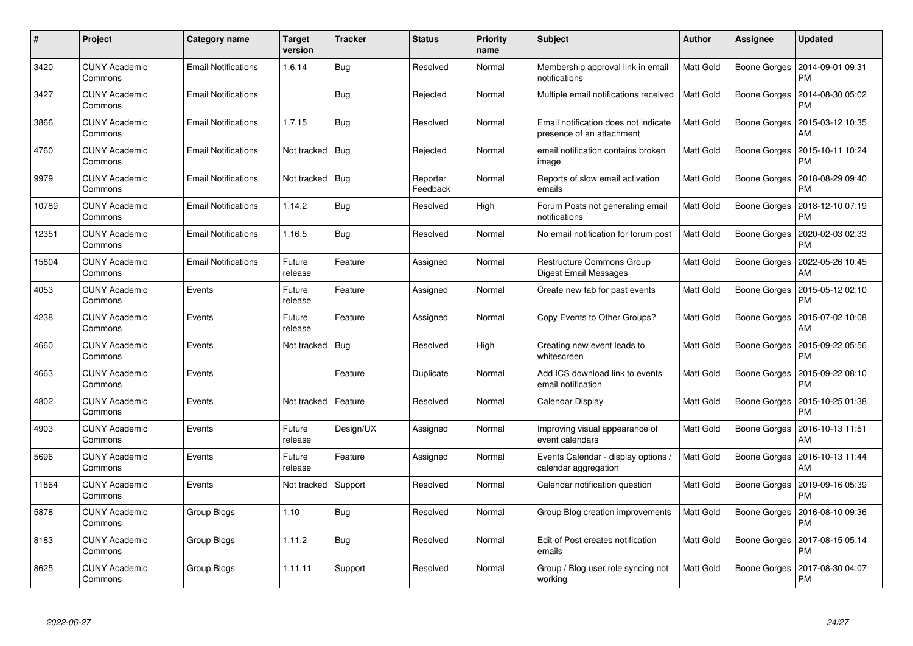| $\#$  | Project                         | <b>Category name</b>       | <b>Target</b><br>version | <b>Tracker</b> | <b>Status</b>        | <b>Priority</b><br>name | <b>Subject</b>                                                    | <b>Author</b>    | Assignee     | <b>Updated</b>                |
|-------|---------------------------------|----------------------------|--------------------------|----------------|----------------------|-------------------------|-------------------------------------------------------------------|------------------|--------------|-------------------------------|
| 3420  | <b>CUNY Academic</b><br>Commons | <b>Email Notifications</b> | 1.6.14                   | <b>Bug</b>     | Resolved             | Normal                  | Membership approval link in email<br>notifications                | <b>Matt Gold</b> | Boone Gorges | 2014-09-01 09:31<br>PM        |
| 3427  | <b>CUNY Academic</b><br>Commons | <b>Email Notifications</b> |                          | <b>Bug</b>     | Rejected             | Normal                  | Multiple email notifications received                             | <b>Matt Gold</b> | Boone Gorges | 2014-08-30 05:02<br><b>PM</b> |
| 3866  | <b>CUNY Academic</b><br>Commons | <b>Email Notifications</b> | 1.7.15                   | Bug            | Resolved             | Normal                  | Email notification does not indicate<br>presence of an attachment | <b>Matt Gold</b> | Boone Gorges | 2015-03-12 10:35<br>AM        |
| 4760  | <b>CUNY Academic</b><br>Commons | <b>Email Notifications</b> | Not tracked              | Bug            | Rejected             | Normal                  | email notification contains broken<br>image                       | Matt Gold        | Boone Gorges | 2015-10-11 10:24<br>PM        |
| 9979  | <b>CUNY Academic</b><br>Commons | <b>Email Notifications</b> | Not tracked              | <b>Bug</b>     | Reporter<br>Feedback | Normal                  | Reports of slow email activation<br>emails                        | <b>Matt Gold</b> | Boone Gorges | 2018-08-29 09:40<br><b>PM</b> |
| 10789 | <b>CUNY Academic</b><br>Commons | <b>Email Notifications</b> | 1.14.2                   | <b>Bug</b>     | Resolved             | High                    | Forum Posts not generating email<br>notifications                 | <b>Matt Gold</b> | Boone Gorges | 2018-12-10 07:19<br><b>PM</b> |
| 12351 | <b>CUNY Academic</b><br>Commons | <b>Email Notifications</b> | 1.16.5                   | Bug            | Resolved             | Normal                  | No email notification for forum post                              | <b>Matt Gold</b> | Boone Gorges | 2020-02-03 02:33<br><b>PM</b> |
| 15604 | <b>CUNY Academic</b><br>Commons | <b>Email Notifications</b> | Future<br>release        | Feature        | Assigned             | Normal                  | Restructure Commons Group<br>Digest Email Messages                | Matt Gold        | Boone Gorges | 2022-05-26 10:45<br>AM        |
| 4053  | <b>CUNY Academic</b><br>Commons | Events                     | Future<br>release        | Feature        | Assigned             | Normal                  | Create new tab for past events                                    | Matt Gold        | Boone Gorges | 2015-05-12 02:10<br><b>PM</b> |
| 4238  | <b>CUNY Academic</b><br>Commons | Events                     | Future<br>release        | Feature        | Assigned             | Normal                  | Copy Events to Other Groups?                                      | <b>Matt Gold</b> | Boone Gorges | 2015-07-02 10:08<br>AM        |
| 4660  | <b>CUNY Academic</b><br>Commons | Events                     | Not tracked              | Bug            | Resolved             | High                    | Creating new event leads to<br>whitescreen                        | Matt Gold        | Boone Gorges | 2015-09-22 05:56<br><b>PM</b> |
| 4663  | <b>CUNY Academic</b><br>Commons | Events                     |                          | Feature        | Duplicate            | Normal                  | Add ICS download link to events<br>email notification             | <b>Matt Gold</b> | Boone Gorges | 2015-09-22 08:10<br><b>PM</b> |
| 4802  | <b>CUNY Academic</b><br>Commons | Events                     | Not tracked              | Feature        | Resolved             | Normal                  | Calendar Display                                                  | Matt Gold        | Boone Gorges | 2015-10-25 01:38<br><b>PM</b> |
| 4903  | <b>CUNY Academic</b><br>Commons | Events                     | Future<br>release        | Design/UX      | Assigned             | Normal                  | Improving visual appearance of<br>event calendars                 | Matt Gold        | Boone Gorges | 2016-10-13 11:51<br>AM        |
| 5696  | <b>CUNY Academic</b><br>Commons | Events                     | Future<br>release        | Feature        | Assigned             | Normal                  | Events Calendar - display options /<br>calendar aggregation       | Matt Gold        | Boone Gorges | 2016-10-13 11:44<br>AM        |
| 11864 | <b>CUNY Academic</b><br>Commons | Events                     | Not tracked              | Support        | Resolved             | Normal                  | Calendar notification question                                    | Matt Gold        | Boone Gorges | 2019-09-16 05:39<br>PM        |
| 5878  | <b>CUNY Academic</b><br>Commons | Group Blogs                | 1.10                     | <b>Bug</b>     | Resolved             | Normal                  | Group Blog creation improvements                                  | <b>Matt Gold</b> | Boone Gorges | 2016-08-10 09:36<br><b>PM</b> |
| 8183  | <b>CUNY Academic</b><br>Commons | Group Blogs                | 1.11.2                   | <b>Bug</b>     | Resolved             | Normal                  | Edit of Post creates notification<br>emails                       | Matt Gold        | Boone Gorges | 2017-08-15 05:14<br><b>PM</b> |
| 8625  | CUNY Academic<br>Commons        | Group Blogs                | 1.11.11                  | Support        | Resolved             | Normal                  | Group / Blog user role syncing not<br>working                     | Matt Gold        | Boone Gorges | 2017-08-30 04:07<br><b>PM</b> |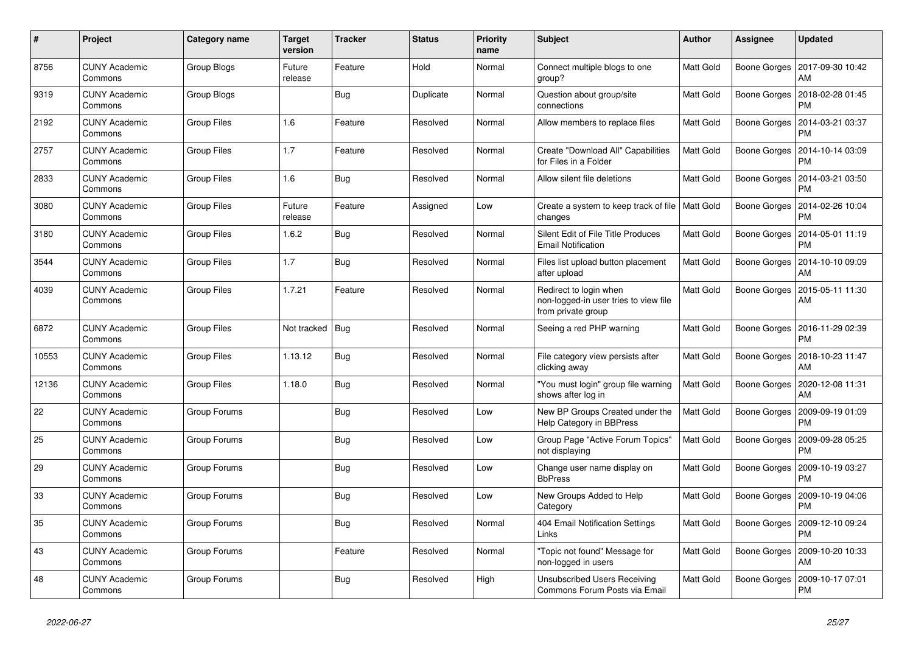| $\#$  | Project                         | Category name      | <b>Target</b><br>version | <b>Tracker</b> | <b>Status</b> | <b>Priority</b><br>name | <b>Subject</b>                                                                        | <b>Author</b>    | <b>Assignee</b>     | <b>Updated</b>                        |
|-------|---------------------------------|--------------------|--------------------------|----------------|---------------|-------------------------|---------------------------------------------------------------------------------------|------------------|---------------------|---------------------------------------|
| 8756  | <b>CUNY Academic</b><br>Commons | Group Blogs        | Future<br>release        | Feature        | Hold          | Normal                  | Connect multiple blogs to one<br>group?                                               | <b>Matt Gold</b> | Boone Gorges        | 2017-09-30 10:42<br>AM                |
| 9319  | <b>CUNY Academic</b><br>Commons | Group Blogs        |                          | <b>Bug</b>     | Duplicate     | Normal                  | Question about group/site<br>connections                                              | <b>Matt Gold</b> | Boone Gorges        | 2018-02-28 01:45<br><b>PM</b>         |
| 2192  | <b>CUNY Academic</b><br>Commons | <b>Group Files</b> | 1.6                      | Feature        | Resolved      | Normal                  | Allow members to replace files                                                        | Matt Gold        | Boone Gorges        | 2014-03-21 03:37<br>PM                |
| 2757  | <b>CUNY Academic</b><br>Commons | <b>Group Files</b> | 1.7                      | Feature        | Resolved      | Normal                  | Create "Download All" Capabilities<br>for Files in a Folder                           | Matt Gold        | Boone Gorges        | 2014-10-14 03:09<br>PM                |
| 2833  | <b>CUNY Academic</b><br>Commons | <b>Group Files</b> | 1.6                      | Bug            | Resolved      | Normal                  | Allow silent file deletions                                                           | <b>Matt Gold</b> | Boone Gorges        | 2014-03-21 03:50<br><b>PM</b>         |
| 3080  | <b>CUNY Academic</b><br>Commons | <b>Group Files</b> | Future<br>release        | Feature        | Assigned      | Low                     | Create a system to keep track of file   Matt Gold<br>changes                          |                  | Boone Gorges        | 2014-02-26 10:04<br>PM                |
| 3180  | <b>CUNY Academic</b><br>Commons | <b>Group Files</b> | 1.6.2                    | Bug            | Resolved      | Normal                  | Silent Edit of File Title Produces<br><b>Email Notification</b>                       | <b>Matt Gold</b> | Boone Gorges        | 2014-05-01 11:19<br><b>PM</b>         |
| 3544  | <b>CUNY Academic</b><br>Commons | <b>Group Files</b> | 1.7                      | <b>Bug</b>     | Resolved      | Normal                  | Files list upload button placement<br>after upload                                    | <b>Matt Gold</b> | Boone Gorges        | 2014-10-10 09:09<br>AM                |
| 4039  | <b>CUNY Academic</b><br>Commons | <b>Group Files</b> | 1.7.21                   | Feature        | Resolved      | Normal                  | Redirect to login when<br>non-logged-in user tries to view file<br>from private group | <b>Matt Gold</b> | <b>Boone Gorges</b> | 2015-05-11 11:30<br>AM                |
| 6872  | <b>CUNY Academic</b><br>Commons | <b>Group Files</b> | Not tracked              | <b>Bug</b>     | Resolved      | Normal                  | Seeing a red PHP warning                                                              | Matt Gold        | Boone Gorges        | 2016-11-29 02:39<br>PM                |
| 10553 | <b>CUNY Academic</b><br>Commons | <b>Group Files</b> | 1.13.12                  | Bug            | Resolved      | Normal                  | File category view persists after<br>clicking away                                    | <b>Matt Gold</b> |                     | Boone Gorges   2018-10-23 11:47<br>AM |
| 12136 | <b>CUNY Academic</b><br>Commons | <b>Group Files</b> | 1.18.0                   | <b>Bug</b>     | Resolved      | Normal                  | "You must login" group file warning<br>shows after log in                             | Matt Gold        | Boone Gorges        | 2020-12-08 11:31<br>AM                |
| 22    | <b>CUNY Academic</b><br>Commons | Group Forums       |                          | <b>Bug</b>     | Resolved      | Low                     | New BP Groups Created under the<br>Help Category in BBPress                           | <b>Matt Gold</b> | Boone Gorges        | 2009-09-19 01:09<br><b>PM</b>         |
| 25    | <b>CUNY Academic</b><br>Commons | Group Forums       |                          | <b>Bug</b>     | Resolved      | Low                     | Group Page "Active Forum Topics"<br>not displaying                                    | Matt Gold        | Boone Gorges        | 2009-09-28 05:25<br>PM                |
| 29    | <b>CUNY Academic</b><br>Commons | Group Forums       |                          | <b>Bug</b>     | Resolved      | Low                     | Change user name display on<br><b>BbPress</b>                                         | <b>Matt Gold</b> | Boone Gorges        | 2009-10-19 03:27<br><b>PM</b>         |
| 33    | <b>CUNY Academic</b><br>Commons | Group Forums       |                          | Bug            | Resolved      | Low                     | New Groups Added to Help<br>Category                                                  | <b>Matt Gold</b> | Boone Gorges        | 2009-10-19 04:06<br>PM                |
| 35    | <b>CUNY Academic</b><br>Commons | Group Forums       |                          | <b>Bug</b>     | Resolved      | Normal                  | 404 Email Notification Settings<br>Links                                              | Matt Gold        | Boone Gorges        | 2009-12-10 09:24<br>PM                |
| 43    | <b>CUNY Academic</b><br>Commons | Group Forums       |                          | Feature        | Resolved      | Normal                  | 'Topic not found" Message for<br>non-logged in users                                  | <b>Matt Gold</b> | Boone Gorges        | 2009-10-20 10:33<br>AM                |
| 48    | <b>CUNY Academic</b><br>Commons | Group Forums       |                          | Bug            | Resolved      | High                    | Unsubscribed Users Receiving<br>Commons Forum Posts via Email                         | Matt Gold        | Boone Gorges        | 2009-10-17 07:01<br><b>PM</b>         |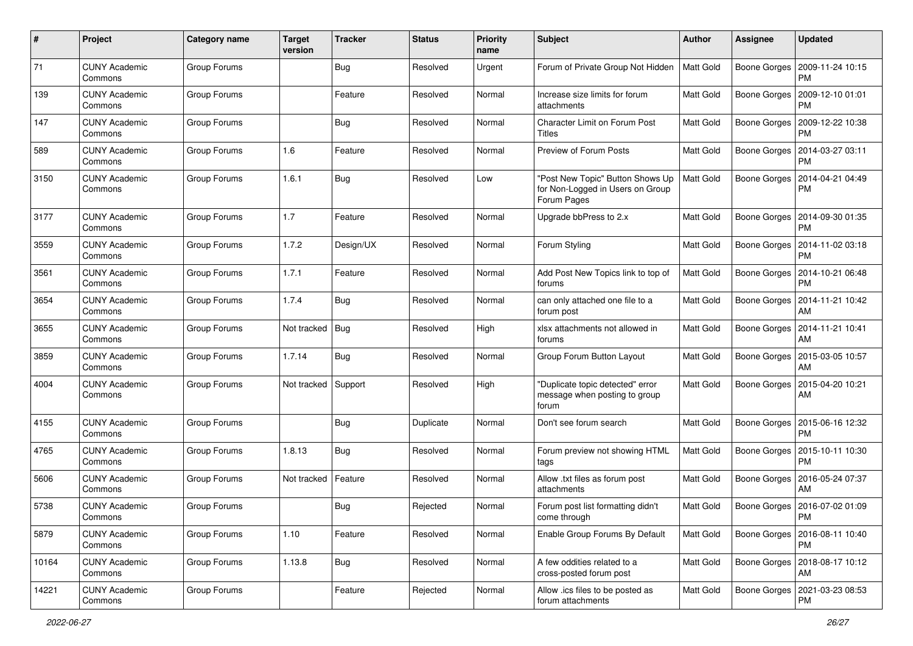| $\#$  | Project                         | <b>Category name</b> | <b>Target</b><br>version | <b>Tracker</b> | <b>Status</b> | <b>Priority</b><br>name | <b>Subject</b>                                                                      | Author           | <b>Assignee</b>     | <b>Updated</b>                               |
|-------|---------------------------------|----------------------|--------------------------|----------------|---------------|-------------------------|-------------------------------------------------------------------------------------|------------------|---------------------|----------------------------------------------|
| 71    | <b>CUNY Academic</b><br>Commons | Group Forums         |                          | <b>Bug</b>     | Resolved      | Urgent                  | Forum of Private Group Not Hidden                                                   | Matt Gold        |                     | Boone Gorges   2009-11-24 10:15<br><b>PM</b> |
| 139   | <b>CUNY Academic</b><br>Commons | Group Forums         |                          | Feature        | Resolved      | Normal                  | Increase size limits for forum<br>attachments                                       | Matt Gold        | Boone Gorges        | 2009-12-10 01:01<br><b>PM</b>                |
| 147   | CUNY Academic<br>Commons        | Group Forums         |                          | <b>Bug</b>     | Resolved      | Normal                  | <b>Character Limit on Forum Post</b><br>Titles                                      | Matt Gold        | Boone Gorges        | 2009-12-22 10:38<br><b>PM</b>                |
| 589   | <b>CUNY Academic</b><br>Commons | Group Forums         | 1.6                      | Feature        | Resolved      | Normal                  | Preview of Forum Posts                                                              | Matt Gold        | Boone Gorges        | 2014-03-27 03:11<br><b>PM</b>                |
| 3150  | <b>CUNY Academic</b><br>Commons | Group Forums         | 1.6.1                    | Bug            | Resolved      | Low                     | 'Post New Topic" Button Shows Up<br>for Non-Logged in Users on Group<br>Forum Pages | Matt Gold        | Boone Gorges        | 2014-04-21 04:49<br><b>PM</b>                |
| 3177  | <b>CUNY Academic</b><br>Commons | Group Forums         | 1.7                      | Feature        | Resolved      | Normal                  | Upgrade bbPress to 2.x                                                              | Matt Gold        |                     | Boone Gorges   2014-09-30 01:35<br><b>PM</b> |
| 3559  | <b>CUNY Academic</b><br>Commons | Group Forums         | 1.7.2                    | Design/UX      | Resolved      | Normal                  | Forum Styling                                                                       | <b>Matt Gold</b> |                     | Boone Gorges   2014-11-02 03:18<br><b>PM</b> |
| 3561  | <b>CUNY Academic</b><br>Commons | Group Forums         | 1.7.1                    | Feature        | Resolved      | Normal                  | Add Post New Topics link to top of<br>forums                                        | <b>Matt Gold</b> | Boone Gorges        | 2014-10-21 06:48<br><b>PM</b>                |
| 3654  | <b>CUNY Academic</b><br>Commons | Group Forums         | 1.7.4                    | <b>Bug</b>     | Resolved      | Normal                  | can only attached one file to a<br>forum post                                       | Matt Gold        |                     | Boone Gorges   2014-11-21 10:42<br>AM        |
| 3655  | <b>CUNY Academic</b><br>Commons | Group Forums         | Not tracked              | Bug            | Resolved      | High                    | xlsx attachments not allowed in<br>forums                                           | <b>Matt Gold</b> | Boone Gorges        | 2014-11-21 10:41<br>AM                       |
| 3859  | <b>CUNY Academic</b><br>Commons | Group Forums         | 1.7.14                   | Bug            | Resolved      | Normal                  | Group Forum Button Layout                                                           | Matt Gold        | Boone Gorges        | 2015-03-05 10:57<br>AM                       |
| 4004  | <b>CUNY Academic</b><br>Commons | Group Forums         | Not tracked              | Support        | Resolved      | High                    | "Duplicate topic detected" error<br>message when posting to group<br>forum          | Matt Gold        | <b>Boone Gorges</b> | 2015-04-20 10:21<br>AM                       |
| 4155  | <b>CUNY Academic</b><br>Commons | Group Forums         |                          | Bug            | Duplicate     | Normal                  | Don't see forum search                                                              | <b>Matt Gold</b> | Boone Gorges        | 2015-06-16 12:32<br><b>PM</b>                |
| 4765  | <b>CUNY Academic</b><br>Commons | Group Forums         | 1.8.13                   | Bug            | Resolved      | Normal                  | Forum preview not showing HTML<br>tags                                              | <b>Matt Gold</b> | Boone Gorges        | 2015-10-11 10:30<br><b>PM</b>                |
| 5606  | <b>CUNY Academic</b><br>Commons | Group Forums         | Not tracked              | Feature        | Resolved      | Normal                  | Allow .txt files as forum post<br>attachments                                       | <b>Matt Gold</b> | Boone Gorges        | 2016-05-24 07:37<br>AM                       |
| 5738  | <b>CUNY Academic</b><br>Commons | Group Forums         |                          | <b>Bug</b>     | Rejected      | Normal                  | Forum post list formatting didn't<br>come through                                   | Matt Gold        |                     | Boone Gorges   2016-07-02 01:09<br><b>PM</b> |
| 5879  | <b>CUNY Academic</b><br>Commons | Group Forums         | 1.10                     | Feature        | Resolved      | Normal                  | Enable Group Forums By Default                                                      | Matt Gold        |                     | Boone Gorges   2016-08-11 10:40<br><b>PM</b> |
| 10164 | <b>CUNY Academic</b><br>Commons | Group Forums         | 1.13.8                   | <b>Bug</b>     | Resolved      | Normal                  | A few oddities related to a<br>cross-posted forum post                              | <b>Matt Gold</b> |                     | Boone Gorges   2018-08-17 10:12<br>AM        |
| 14221 | <b>CUNY Academic</b><br>Commons | Group Forums         |                          | Feature        | Rejected      | Normal                  | Allow .ics files to be posted as<br>forum attachments                               | <b>Matt Gold</b> |                     | Boone Gorges   2021-03-23 08:53<br><b>PM</b> |